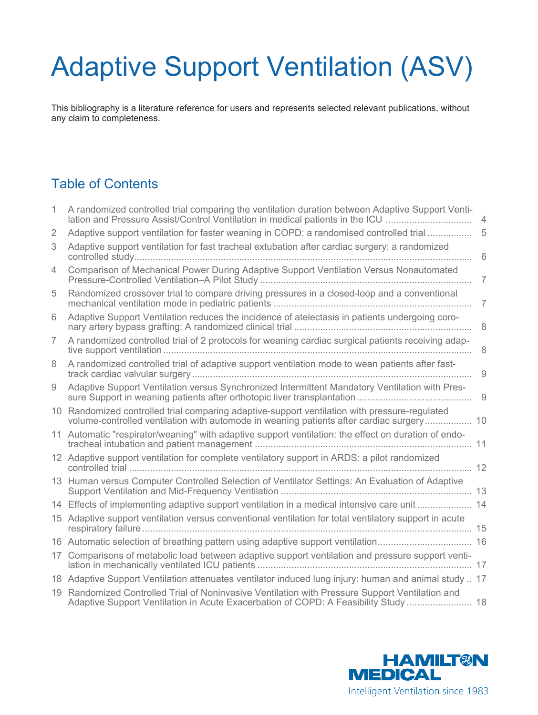# Adaptive Support Ventilation (ASV)

This bibliography is a literature reference for users and represents selected relevant publications, without any claim to completeness.

## Table of Contents

| 1 | A randomized controlled trial comparing the ventilation duration between Adaptive Support Venti-<br>lation and Pressure Assist/Control Ventilation in medical patients in the ICU         | $\overline{4}$ |
|---|-------------------------------------------------------------------------------------------------------------------------------------------------------------------------------------------|----------------|
| 2 | Adaptive support ventilation for faster weaning in COPD: a randomised controlled trial                                                                                                    | 5              |
| 3 | Adaptive support ventilation for fast tracheal extubation after cardiac surgery: a randomized                                                                                             | 6              |
| 4 | Comparison of Mechanical Power During Adaptive Support Ventilation Versus Nonautomated                                                                                                    | $\overline{7}$ |
| 5 | Randomized crossover trial to compare driving pressures in a closed-loop and a conventional                                                                                               | 7              |
| 6 | Adaptive Support Ventilation reduces the incidence of atelectasis in patients undergoing coro-                                                                                            | 8              |
| 7 | A randomized controlled trial of 2 protocols for weaning cardiac surgical patients receiving adap-                                                                                        | 8              |
| 8 | A randomized controlled trial of adaptive support ventilation mode to wean patients after fast-                                                                                           | 9              |
| 9 | Adaptive Support Ventilation versus Synchronized Intermittent Mandatory Ventilation with Pres-                                                                                            |                |
|   | 10 Randomized controlled trial comparing adaptive-support ventilation with pressure-regulated<br>volume-controlled ventilation with automode in weaning patients after cardiac surgery 10 |                |
|   | 11 Automatic "respirator/weaning" with adaptive support ventilation: the effect on duration of endo-                                                                                      |                |
|   | 12 Adaptive support ventilation for complete ventilatory support in ARDS: a pilot randomized<br>. 12                                                                                      |                |
|   | 13 Human versus Computer Controlled Selection of Ventilator Settings: An Evaluation of Adaptive                                                                                           |                |
|   | 14 Effects of implementing adaptive support ventilation in a medical intensive care unit  14                                                                                              |                |
|   | 15 Adaptive support ventilation versus conventional ventilation for total ventilatory support in acute                                                                                    |                |
|   |                                                                                                                                                                                           |                |
|   | 17 Comparisons of metabolic load between adaptive support ventilation and pressure support venti-                                                                                         |                |
|   | 18 Adaptive Support Ventilation attenuates ventilator induced lung injury: human and animal study  17                                                                                     |                |
|   | 19 Randomized Controlled Trial of Noninvasive Ventilation with Pressure Support Ventilation and<br>Adaptive Support Ventilation in Acute Exacerbation of COPD: A Feasibility Study  18    |                |

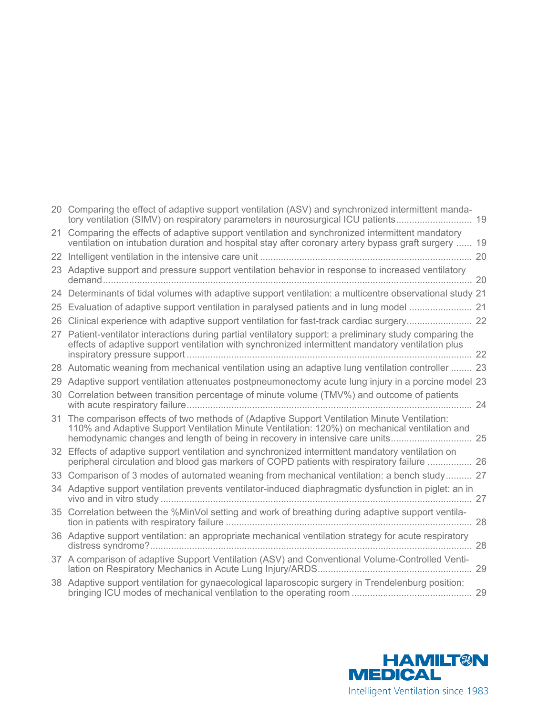|    | 20 Comparing the effect of adaptive support ventilation (ASV) and synchronized intermittent manda-<br>tory ventilation (SIMV) on respiratory parameters in neurosurgical ICU patients                                                                                         |  |
|----|-------------------------------------------------------------------------------------------------------------------------------------------------------------------------------------------------------------------------------------------------------------------------------|--|
| 21 | Comparing the effects of adaptive support ventilation and synchronized intermittent mandatory<br>ventilation on intubation duration and hospital stay after coronary artery bypass graft surgery  19                                                                          |  |
|    |                                                                                                                                                                                                                                                                               |  |
|    | 23 Adaptive support and pressure support ventilation behavior in response to increased ventilatory                                                                                                                                                                            |  |
|    | 24 Determinants of tidal volumes with adaptive support ventilation: a multicentre observational study 21                                                                                                                                                                      |  |
|    | 25 Evaluation of adaptive support ventilation in paralysed patients and in lung model  21                                                                                                                                                                                     |  |
| 26 | Clinical experience with adaptive support ventilation for fast-track cardiac surgery 22                                                                                                                                                                                       |  |
|    | 27 Patient-ventilator interactions during partial ventilatory support: a preliminary study comparing the<br>effects of adaptive support ventilation with synchronized intermittent mandatory ventilation plus                                                                 |  |
|    | 28 Automatic weaning from mechanical ventilation using an adaptive lung ventilation controller  23                                                                                                                                                                            |  |
|    | 29 Adaptive support ventilation attenuates postpneumonectomy acute lung injury in a porcine model 23                                                                                                                                                                          |  |
|    | 30 Correlation between transition percentage of minute volume (TMV%) and outcome of patients                                                                                                                                                                                  |  |
|    | 31 The comparison effects of two methods of (Adaptive Support Ventilation Minute Ventilation:<br>110% and Adaptive Support Ventilation Minute Ventilation: 120%) on mechanical ventilation and<br>hemodynamic changes and length of being in recovery in intensive care units |  |
|    | 32 Effects of adaptive support ventilation and synchronized intermittent mandatory ventilation on<br>peripheral circulation and blood gas markers of COPD patients with respiratory failure  26                                                                               |  |
|    | 33 Comparison of 3 modes of automated weaning from mechanical ventilation: a bench study 27                                                                                                                                                                                   |  |
|    | 34 Adaptive support ventilation prevents ventilator-induced diaphragmatic dysfunction in piglet: an in                                                                                                                                                                        |  |
|    | 35 Correlation between the %MinVol setting and work of breathing during adaptive support ventila-                                                                                                                                                                             |  |
|    | 36 Adaptive support ventilation: an appropriate mechanical ventilation strategy for acute respiratory                                                                                                                                                                         |  |
|    | 37 A comparison of adaptive Support Ventilation (ASV) and Conventional Volume-Controlled Venti-                                                                                                                                                                               |  |
|    | 38 Adaptive support ventilation for gynaecological laparoscopic surgery in Trendelenburg position:                                                                                                                                                                            |  |

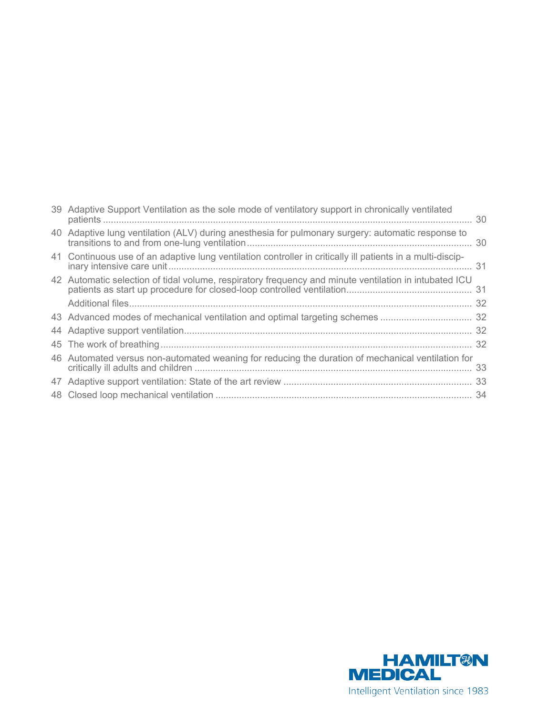| 39 Adaptive Support Ventilation as the sole mode of ventilatory support in chronically ventilated          |  |
|------------------------------------------------------------------------------------------------------------|--|
| 40 Adaptive lung ventilation (ALV) during anesthesia for pulmonary surgery: automatic response to          |  |
| 41 Continuous use of an adaptive lung ventilation controller in critically ill patients in a multi-discip- |  |
| 42 Automatic selection of tidal volume, respiratory frequency and minute ventilation in intubated ICU      |  |
|                                                                                                            |  |
|                                                                                                            |  |
|                                                                                                            |  |
|                                                                                                            |  |
| 46 Automated versus non-automated weaning for reducing the duration of mechanical ventilation for          |  |
|                                                                                                            |  |
|                                                                                                            |  |

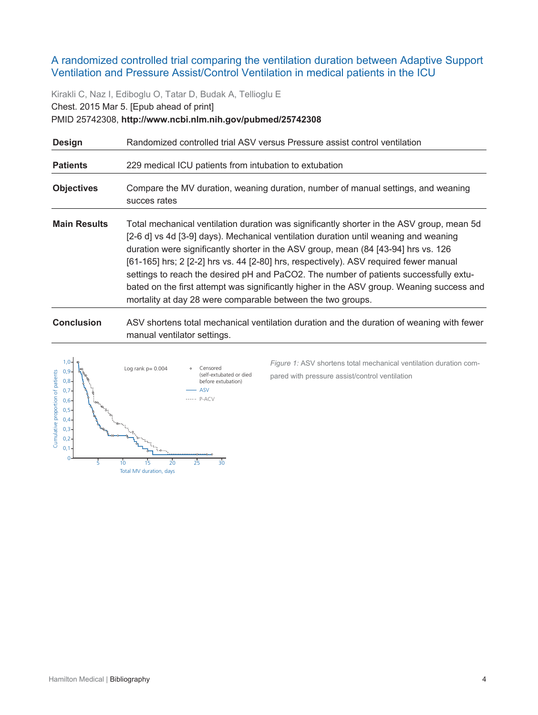#### <span id="page-3-0"></span>A randomized controlled trial comparing the ventilation duration between Adaptive Support Ventilation and Pressure Assist/Control Ventilation in medical patients in the ICU

Kirakli C, Naz I, Ediboglu O, Tatar D, Budak A, Tellioglu E Chest. 2015 Mar 5. [Epub ahead of print] PMID 25742308, **http://www.ncbi.nlm.nih.gov/pubmed/25742308**

| <b>Design</b>       | Randomized controlled trial ASV versus Pressure assist control ventilation                                                                                                                                                                                                                                                                                                                                                                                                                                                                                                                                            |
|---------------------|-----------------------------------------------------------------------------------------------------------------------------------------------------------------------------------------------------------------------------------------------------------------------------------------------------------------------------------------------------------------------------------------------------------------------------------------------------------------------------------------------------------------------------------------------------------------------------------------------------------------------|
| <b>Patients</b>     | 229 medical ICU patients from intubation to extubation                                                                                                                                                                                                                                                                                                                                                                                                                                                                                                                                                                |
| <b>Objectives</b>   | Compare the MV duration, weaning duration, number of manual settings, and weaning<br>succes rates                                                                                                                                                                                                                                                                                                                                                                                                                                                                                                                     |
| <b>Main Results</b> | Total mechanical ventilation duration was significantly shorter in the ASV group, mean 5d<br>[2-6 d] vs 4d [3-9] days). Mechanical ventilation duration until weaning and weaning<br>duration were significantly shorter in the ASV group, mean (84 [43-94] hrs vs. 126<br>[61-165] hrs; 2 [2-2] hrs vs. 44 [2-80] hrs, respectively). ASV required fewer manual<br>settings to reach the desired pH and PaCO2. The number of patients successfully extu-<br>bated on the first attempt was significantly higher in the ASV group. Weaning success and<br>mortality at day 28 were comparable between the two groups. |

**Conclusion** ASV shortens total mechanical ventilation duration and the duration of weaning with fewer manual ventilator settings.



*Figure 1:* ASV shortens total mechanical ventilation duration compared with pressure assist/control ventilation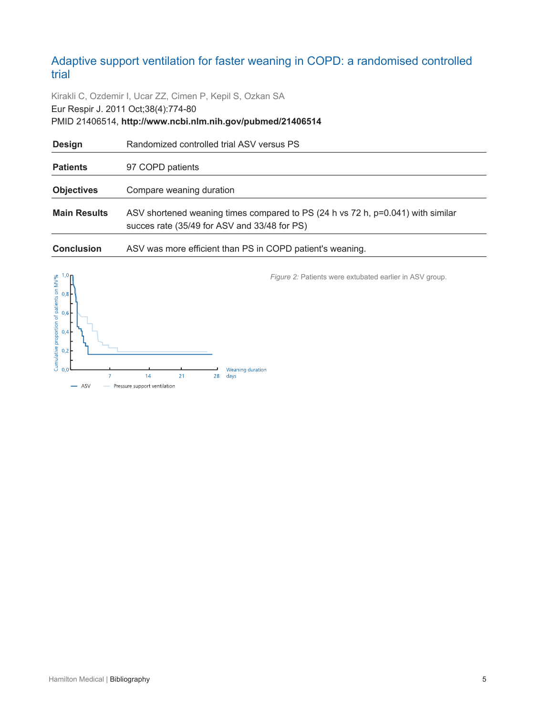## <span id="page-4-0"></span>Adaptive support ventilation for faster weaning in COPD: a randomised controlled trial

Kirakli C, Ozdemir I, Ucar ZZ, Cimen P, Kepil S, Ozkan SA Eur Respir J. 2011 Oct;38(4):774-80 PMID 21406514, **http://www.ncbi.nlm.nih.gov/pubmed/21406514**

| <b>Design</b>       | Randomized controlled trial ASV versus PS                                                                                       |
|---------------------|---------------------------------------------------------------------------------------------------------------------------------|
| <b>Patients</b>     | 97 COPD patients                                                                                                                |
| <b>Objectives</b>   | Compare weaning duration                                                                                                        |
| <b>Main Results</b> | ASV shortened weaning times compared to PS (24 h vs 72 h, p=0.041) with similar<br>succes rate (35/49 for ASV and 33/48 for PS) |
| <b>Conclusion</b>   | ASV was more efficient than PS in COPD patient's weaning.                                                                       |



*Figure 2:* Patients were extubated earlier in ASV group.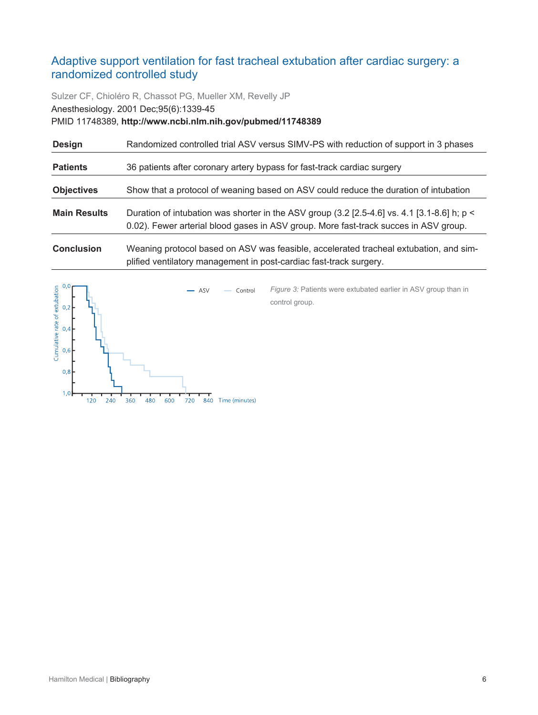## <span id="page-5-0"></span>Adaptive support ventilation for fast tracheal extubation after cardiac surgery: a randomized controlled study

Sulzer CF, Chioléro R, Chassot PG, Mueller XM, Revelly JP Anesthesiology. 2001 Dec;95(6):1339-45 PMID 11748389, **http://www.ncbi.nlm.nih.gov/pubmed/11748389**

| <b>Design</b>       | Randomized controlled trial ASV versus SIMV-PS with reduction of support in 3 phases                                                                                                  |
|---------------------|---------------------------------------------------------------------------------------------------------------------------------------------------------------------------------------|
| <b>Patients</b>     | 36 patients after coronary artery bypass for fast-track cardiac surgery                                                                                                               |
| <b>Objectives</b>   | Show that a protocol of weaning based on ASV could reduce the duration of intubation                                                                                                  |
| <b>Main Results</b> | Duration of intubation was shorter in the ASV group (3.2 [2.5-4.6] vs. 4.1 [3.1-8.6] h; $p <$<br>0.02). Fewer arterial blood gases in ASV group. More fast-track succes in ASV group. |
| <b>Conclusion</b>   | Weaning protocol based on ASV was feasible, accelerated tracheal extubation, and sim-<br>plified ventilatory management in post-cardiac fast-track surgery.                           |

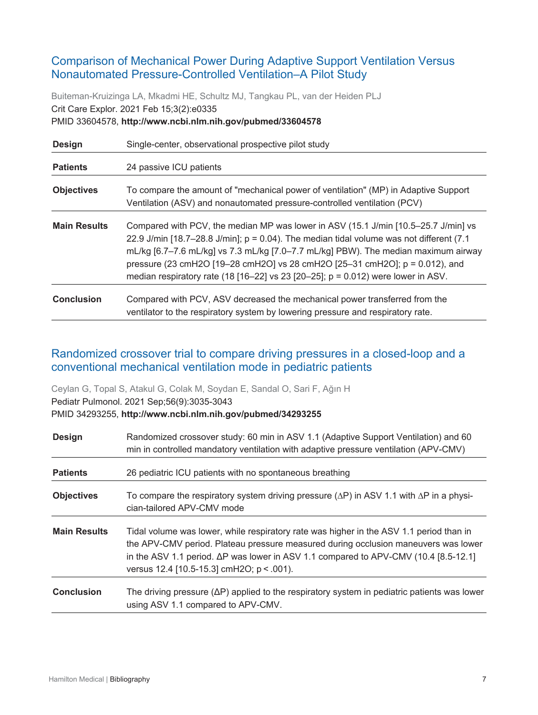## <span id="page-6-0"></span>Comparison of Mechanical Power During Adaptive Support Ventilation Versus Nonautomated Pressure-Controlled Ventilation–A Pilot Study

Buiteman-Kruizinga LA, Mkadmi HE, Schultz MJ, Tangkau PL, van der Heiden PLJ Crit Care Explor. 2021 Feb 15;3(2):e0335 PMID 33604578, **http://www.ncbi.nlm.nih.gov/pubmed/33604578**

| <b>Design</b>       | Single-center, observational prospective pilot study                                                                                                                                                                                                                                                                                                                                                                                             |
|---------------------|--------------------------------------------------------------------------------------------------------------------------------------------------------------------------------------------------------------------------------------------------------------------------------------------------------------------------------------------------------------------------------------------------------------------------------------------------|
| <b>Patients</b>     | 24 passive ICU patients                                                                                                                                                                                                                                                                                                                                                                                                                          |
| <b>Objectives</b>   | To compare the amount of "mechanical power of ventilation" (MP) in Adaptive Support<br>Ventilation (ASV) and nonautomated pressure-controlled ventilation (PCV)                                                                                                                                                                                                                                                                                  |
| <b>Main Results</b> | Compared with PCV, the median MP was lower in ASV (15.1 J/min [10.5–25.7 J/min] vs<br>22.9 J/min [18.7–28.8 J/min]; $p = 0.04$ ). The median tidal volume was not different (7.1)<br>mL/kg [6.7–7.6 mL/kg] vs 7.3 mL/kg [7.0–7.7 mL/kg] PBW). The median maximum airway<br>pressure (23 cmH2O [19–28 cmH2O] vs 28 cmH2O [25–31 cmH2O]; $p = 0.012$ ), and<br>median respiratory rate (18 [16-22] vs 23 [20-25]; $p = 0.012$ ) were lower in ASV. |
| <b>Conclusion</b>   | Compared with PCV, ASV decreased the mechanical power transferred from the<br>ventilator to the respiratory system by lowering pressure and respiratory rate.                                                                                                                                                                                                                                                                                    |

## <span id="page-6-1"></span>Randomized crossover trial to compare driving pressures in a closed-loop and a conventional mechanical ventilation mode in pediatric patients

Ceylan G, Topal S, Atakul G, Colak M, Soydan E, Sandal O, Sari F, Ağın H Pediatr Pulmonol. 2021 Sep;56(9):3035-3043

PMID 34293255, **http://www.ncbi.nlm.nih.gov/pubmed/34293255**

| <b>Design</b>       | Randomized crossover study: 60 min in ASV 1.1 (Adaptive Support Ventilation) and 60<br>min in controlled mandatory ventilation with adaptive pressure ventilation (APV-CMV)                                                                                                                                               |
|---------------------|---------------------------------------------------------------------------------------------------------------------------------------------------------------------------------------------------------------------------------------------------------------------------------------------------------------------------|
| <b>Patients</b>     | 26 pediatric ICU patients with no spontaneous breathing                                                                                                                                                                                                                                                                   |
| <b>Objectives</b>   | To compare the respiratory system driving pressure ( $\Delta P$ ) in ASV 1.1 with $\Delta P$ in a physi-<br>cian-tailored APV-CMV mode                                                                                                                                                                                    |
| <b>Main Results</b> | Tidal volume was lower, while respiratory rate was higher in the ASV 1.1 period than in<br>the APV-CMV period. Plateau pressure measured during occlusion maneuvers was lower<br>in the ASV 1.1 period. $\Delta P$ was lower in ASV 1.1 compared to APV-CMV (10.4 [8.5-12.1]<br>versus 12.4 [10.5-15.3] cmH2O; p < .001). |
| <b>Conclusion</b>   | The driving pressure $(\Delta P)$ applied to the respiratory system in pediatric patients was lower<br>using ASV 1.1 compared to APV-CMV.                                                                                                                                                                                 |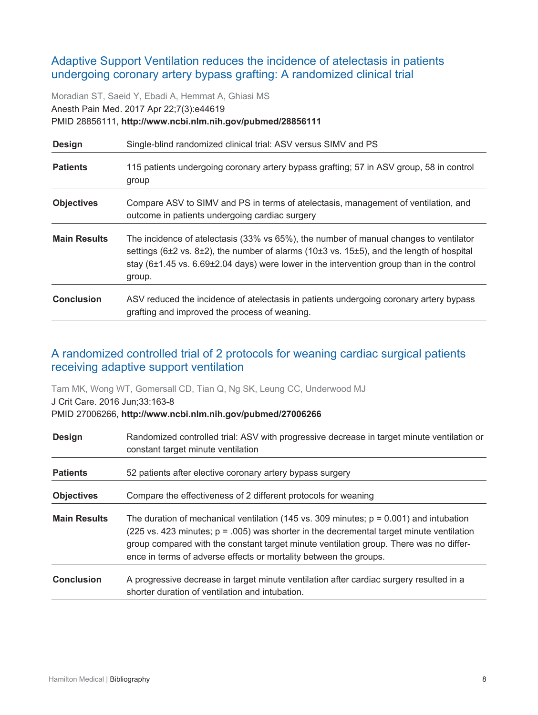## <span id="page-7-0"></span>Adaptive Support Ventilation reduces the incidence of atelectasis in patients undergoing coronary artery bypass grafting: A randomized clinical trial

Moradian ST, Saeid Y, Ebadi A, Hemmat A, Ghiasi MS Anesth Pain Med. 2017 Apr 22;7(3):e44619 PMID 28856111, **http://www.ncbi.nlm.nih.gov/pubmed/28856111**

| <b>Design</b>       | Single-blind randomized clinical trial: ASV versus SIMV and PS                                                                                                                                                                                                                                                                          |
|---------------------|-----------------------------------------------------------------------------------------------------------------------------------------------------------------------------------------------------------------------------------------------------------------------------------------------------------------------------------------|
| <b>Patients</b>     | 115 patients undergoing coronary artery bypass grafting; 57 in ASV group, 58 in control<br>group                                                                                                                                                                                                                                        |
| <b>Objectives</b>   | Compare ASV to SIMV and PS in terms of atelectasis, management of ventilation, and<br>outcome in patients undergoing cardiac surgery                                                                                                                                                                                                    |
| <b>Main Results</b> | The incidence of atelectasis (33% vs 65%), the number of manual changes to ventilator<br>settings (6 $\pm$ 2 vs. 8 $\pm$ 2), the number of alarms (10 $\pm$ 3 vs. 15 $\pm$ 5), and the length of hospital<br>stay $(6\pm1.45 \text{ vs. } 6.69\pm2.04 \text{ days})$ were lower in the intervention group than in the control<br>group. |
| <b>Conclusion</b>   | ASV reduced the incidence of atelectasis in patients undergoing coronary artery bypass<br>grafting and improved the process of weaning.                                                                                                                                                                                                 |

## <span id="page-7-1"></span>A randomized controlled trial of 2 protocols for weaning cardiac surgical patients receiving adaptive support ventilation

Tam MK, Wong WT, Gomersall CD, Tian Q, Ng SK, Leung CC, Underwood MJ

J Crit Care. 2016 Jun;33:163-8 PMID 27006266, **http://www.ncbi.nlm.nih.gov/pubmed/27006266**

| <b>Design</b>       | Randomized controlled trial: ASV with progressive decrease in target minute ventilation or<br>constant target minute ventilation                                                                                                                                                                                                                        |
|---------------------|---------------------------------------------------------------------------------------------------------------------------------------------------------------------------------------------------------------------------------------------------------------------------------------------------------------------------------------------------------|
| <b>Patients</b>     | 52 patients after elective coronary artery bypass surgery                                                                                                                                                                                                                                                                                               |
| <b>Objectives</b>   | Compare the effectiveness of 2 different protocols for weaning                                                                                                                                                                                                                                                                                          |
| <b>Main Results</b> | The duration of mechanical ventilation (145 vs. 309 minutes; $p = 0.001$ ) and intubation<br>(225 vs. 423 minutes; $p = .005$ ) was shorter in the decremental target minute ventilation<br>group compared with the constant target minute ventilation group. There was no differ-<br>ence in terms of adverse effects or mortality between the groups. |
| <b>Conclusion</b>   | A progressive decrease in target minute ventilation after cardiac surgery resulted in a<br>shorter duration of ventilation and intubation.                                                                                                                                                                                                              |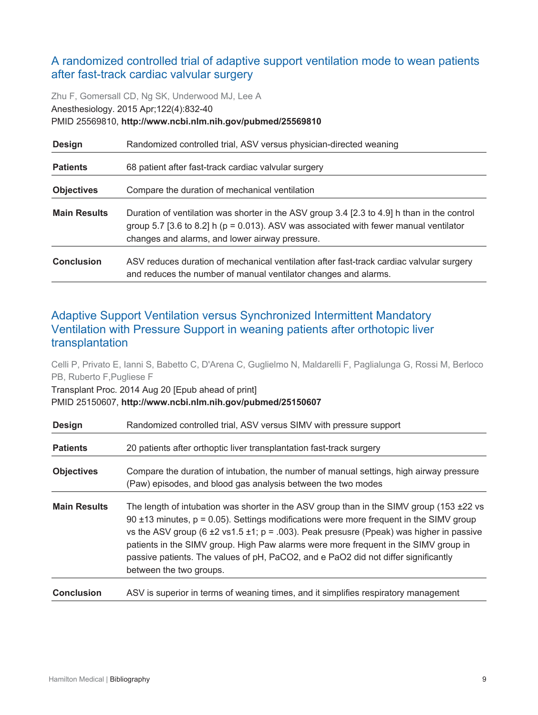## <span id="page-8-0"></span>A randomized controlled trial of adaptive support ventilation mode to wean patients after fast-track cardiac valvular surgery

Zhu F, Gomersall CD, Ng SK, Underwood MJ, Lee A Anesthesiology. 2015 Apr;122(4):832-40 PMID 25569810, **http://www.ncbi.nlm.nih.gov/pubmed/25569810**

| <b>Design</b>       | Randomized controlled trial, ASV versus physician-directed weaning                                                                                                                                                                         |
|---------------------|--------------------------------------------------------------------------------------------------------------------------------------------------------------------------------------------------------------------------------------------|
| <b>Patients</b>     | 68 patient after fast-track cardiac valvular surgery                                                                                                                                                                                       |
| <b>Objectives</b>   | Compare the duration of mechanical ventilation                                                                                                                                                                                             |
| <b>Main Results</b> | Duration of ventilation was shorter in the ASV group 3.4 [2.3 to 4.9] h than in the control<br>group 5.7 [3.6 to 8.2] h ( $p = 0.013$ ). ASV was associated with fewer manual ventilator<br>changes and alarms, and lower airway pressure. |
| <b>Conclusion</b>   | ASV reduces duration of mechanical ventilation after fast-track cardiac valvular surgery<br>and reduces the number of manual ventilator changes and alarms.                                                                                |

## <span id="page-8-1"></span>Adaptive Support Ventilation versus Synchronized Intermittent Mandatory Ventilation with Pressure Support in weaning patients after orthotopic liver transplantation

Celli P, Privato E, Ianni S, Babetto C, D'Arena C, Guglielmo N, Maldarelli F, Paglialunga G, Rossi M, Berloco PB, Ruberto F,Pugliese F

Transplant Proc. 2014 Aug 20 [Epub ahead of print] PMID 25150607, **http://www.ncbi.nlm.nih.gov/pubmed/25150607**

| <b>Design</b>       | Randomized controlled trial, ASV versus SIMV with pressure support                                                                                                                                                                                                                                                                                                                                                                                                                                      |
|---------------------|---------------------------------------------------------------------------------------------------------------------------------------------------------------------------------------------------------------------------------------------------------------------------------------------------------------------------------------------------------------------------------------------------------------------------------------------------------------------------------------------------------|
| <b>Patients</b>     | 20 patients after orthoptic liver transplantation fast-track surgery                                                                                                                                                                                                                                                                                                                                                                                                                                    |
| <b>Objectives</b>   | Compare the duration of intubation, the number of manual settings, high airway pressure<br>(Paw) episodes, and blood gas analysis between the two modes                                                                                                                                                                                                                                                                                                                                                 |
| <b>Main Results</b> | The length of intubation was shorter in the ASV group than in the SIMV group (153 ±22 vs<br>90 $\pm$ 13 minutes, $p = 0.05$ ). Settings modifications were more frequent in the SIMV group<br>vs the ASV group (6 $\pm$ 2 vs1.5 $\pm$ 1; p = .003). Peak presusre (Ppeak) was higher in passive<br>patients in the SIMV group. High Paw alarms were more frequent in the SIMV group in<br>passive patients. The values of pH, PaCO2, and e PaO2 did not differ significantly<br>between the two groups. |
| <b>Conclusion</b>   | ASV is superior in terms of weaning times, and it simplifies respiratory management                                                                                                                                                                                                                                                                                                                                                                                                                     |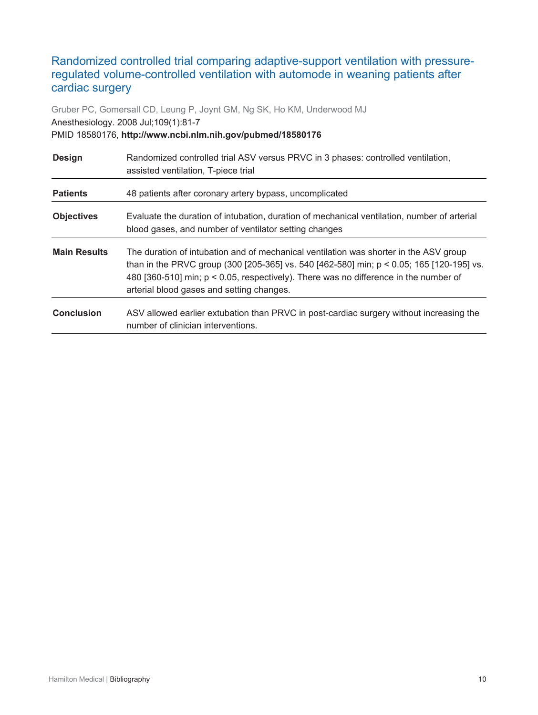## <span id="page-9-0"></span>Randomized controlled trial comparing adaptive-support ventilation with pressureregulated volume-controlled ventilation with automode in weaning patients after cardiac surgery

Gruber PC, Gomersall CD, Leung P, Joynt GM, Ng SK, Ho KM, Underwood MJ Anesthesiology. 2008 Jul;109(1):81-7 PMID 18580176, **http://www.ncbi.nlm.nih.gov/pubmed/18580176**

| <b>Design</b>       | Randomized controlled trial ASV versus PRVC in 3 phases: controlled ventilation,<br>assisted ventilation, T-piece trial                                                                                                                                                                                                |
|---------------------|------------------------------------------------------------------------------------------------------------------------------------------------------------------------------------------------------------------------------------------------------------------------------------------------------------------------|
| <b>Patients</b>     | 48 patients after coronary artery bypass, uncomplicated                                                                                                                                                                                                                                                                |
| <b>Objectives</b>   | Evaluate the duration of intubation, duration of mechanical ventilation, number of arterial<br>blood gases, and number of ventilator setting changes                                                                                                                                                                   |
| <b>Main Results</b> | The duration of intubation and of mechanical ventilation was shorter in the ASV group<br>than in the PRVC group (300 [205-365] vs. 540 [462-580] min; p < 0.05; 165 [120-195] vs.<br>480 [360-510] min; p < 0.05, respectively). There was no difference in the number of<br>arterial blood gases and setting changes. |
| <b>Conclusion</b>   | ASV allowed earlier extubation than PRVC in post-cardiac surgery without increasing the<br>number of clinician interventions.                                                                                                                                                                                          |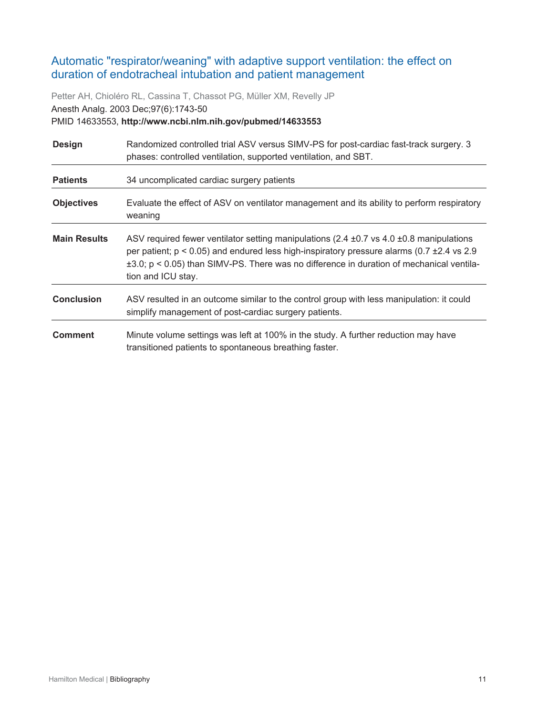## <span id="page-10-0"></span>Automatic "respirator/weaning" with adaptive support ventilation: the effect on duration of endotracheal intubation and patient management

Petter AH, Chioléro RL, Cassina T, Chassot PG, Müller XM, Revelly JP Anesth Analg. 2003 Dec;97(6):1743-50 PMID 14633553, **http://www.ncbi.nlm.nih.gov/pubmed/14633553**

| <b>Design</b>       | Randomized controlled trial ASV versus SIMV-PS for post-cardiac fast-track surgery. 3<br>phases: controlled ventilation, supported ventilation, and SBT.                                                                                                                                                               |
|---------------------|------------------------------------------------------------------------------------------------------------------------------------------------------------------------------------------------------------------------------------------------------------------------------------------------------------------------|
| <b>Patients</b>     | 34 uncomplicated cardiac surgery patients                                                                                                                                                                                                                                                                              |
| <b>Objectives</b>   | Evaluate the effect of ASV on ventilator management and its ability to perform respiratory<br>weaning                                                                                                                                                                                                                  |
| <b>Main Results</b> | ASV required fewer ventilator setting manipulations (2.4 $\pm$ 0.7 vs 4.0 $\pm$ 0.8 manipulations<br>per patient; p < 0.05) and endured less high-inspiratory pressure alarms (0.7 ±2.4 vs 2.9<br>$\pm 3.0$ ; p < 0.05) than SIMV-PS. There was no difference in duration of mechanical ventila-<br>tion and ICU stay. |
| <b>Conclusion</b>   | ASV resulted in an outcome similar to the control group with less manipulation: it could<br>simplify management of post-cardiac surgery patients.                                                                                                                                                                      |
| <b>Comment</b>      | Minute volume settings was left at 100% in the study. A further reduction may have<br>transitioned patients to spontaneous breathing faster.                                                                                                                                                                           |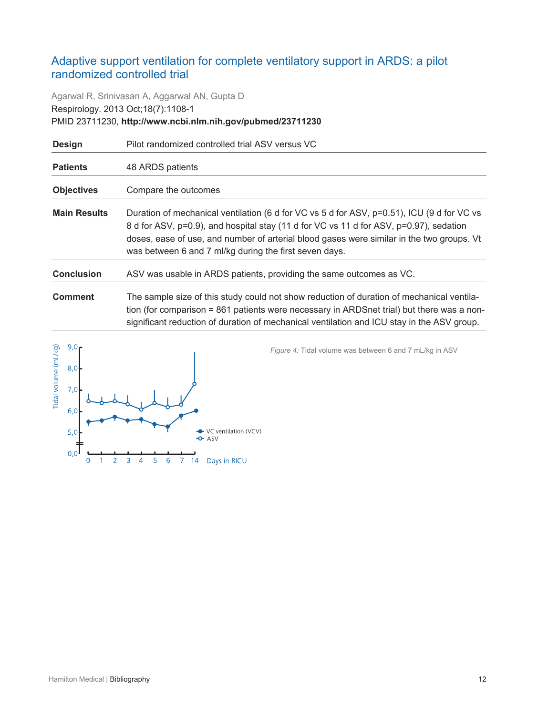## <span id="page-11-0"></span>Adaptive support ventilation for complete ventilatory support in ARDS: a pilot randomized controlled trial

Agarwal R, Srinivasan A, Aggarwal AN, Gupta D Respirology. 2013 Oct;18(7):1108-1 PMID 23711230, **http://www.ncbi.nlm.nih.gov/pubmed/23711230**

| <b>Design</b>       | Pilot randomized controlled trial ASV versus VC                                                                                                                                                                                                                                                                                             |
|---------------------|---------------------------------------------------------------------------------------------------------------------------------------------------------------------------------------------------------------------------------------------------------------------------------------------------------------------------------------------|
| <b>Patients</b>     | 48 ARDS patients                                                                                                                                                                                                                                                                                                                            |
| <b>Objectives</b>   | Compare the outcomes                                                                                                                                                                                                                                                                                                                        |
| <b>Main Results</b> | Duration of mechanical ventilation (6 d for VC vs 5 d for ASV, p=0.51), ICU (9 d for VC vs<br>8 d for ASV, p=0.9), and hospital stay (11 d for VC vs 11 d for ASV, p=0.97), sedation<br>doses, ease of use, and number of arterial blood gases were similar in the two groups. Vt<br>was between 6 and 7 ml/kg during the first seven days. |
| <b>Conclusion</b>   | ASV was usable in ARDS patients, providing the same outcomes as VC.                                                                                                                                                                                                                                                                         |
| <b>Comment</b>      | The sample size of this study could not show reduction of duration of mechanical ventila-<br>tion (for comparison = 861 patients were necessary in ARDSnet trial) but there was a non-<br>significant reduction of duration of mechanical ventilation and ICU stay in the ASV group.                                                        |



*Figure 4:* Tidal volume was between 6 and 7 mL/kg in ASV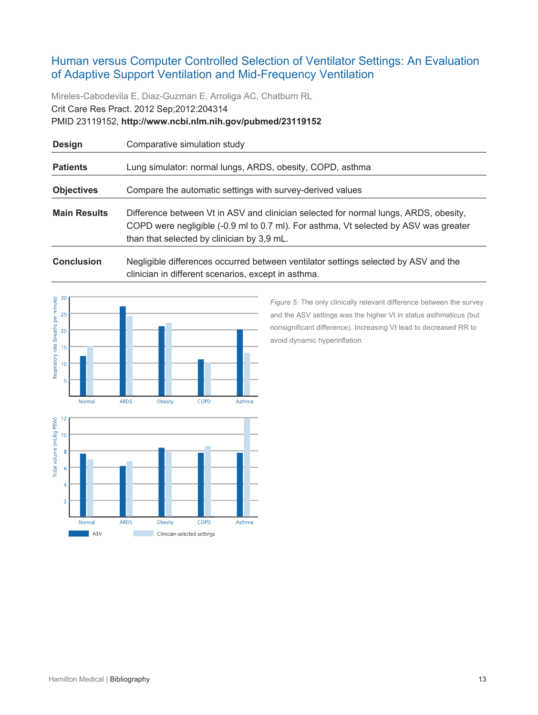## <span id="page-12-0"></span>Human versus Computer Controlled Selection of Ventilator Settings: An Evaluation of Adaptive Support Ventilation and Mid-Frequency Ventilation

Mireles-Cabodevila E, Diaz-Guzman E, Arroliga AC, Chatburn RL Crit Care Res Pract. 2012 Sep;2012:204314 PMID 23119152, **http://www.ncbi.nlm.nih.gov/pubmed/23119152**

| Comparative simulation study                                                                                                                                                                                               |
|----------------------------------------------------------------------------------------------------------------------------------------------------------------------------------------------------------------------------|
| Lung simulator: normal lungs, ARDS, obesity, COPD, asthma                                                                                                                                                                  |
| Compare the automatic settings with survey-derived values                                                                                                                                                                  |
| Difference between Vt in ASV and clinician selected for normal lungs, ARDS, obesity,<br>COPD were negligible (-0.9 ml to 0.7 ml). For asthma, Vt selected by ASV was greater<br>than that selected by clinician by 3,9 mL. |
|                                                                                                                                                                                                                            |

**Conclusion** Negligible differences occurred between ventilator settings selected by ASV and the clinician in different scenarios, except in asthma.



Obesity

Clinician-selected settings

COPD

Asthma

ARDS

**The State** 

Normal

ASV

*Figure 5:* The only clinically relevant difference between the survey and the ASV settings was the higher Vt in status asthmaticus (but nonsignificant difference). Increasing Vt lead to decreased RR to avoid dynamic hyperinflation.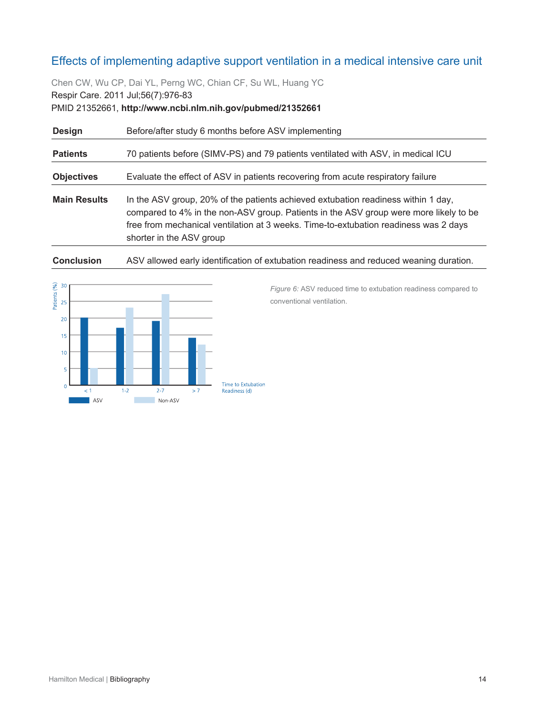## <span id="page-13-0"></span>Effects of implementing adaptive support ventilation in a medical intensive care unit

Chen CW, Wu CP, Dai YL, Perng WC, Chian CF, Su WL, Huang YC Respir Care. 2011 Jul;56(7):976-83 PMID 21352661, **http://www.ncbi.nlm.nih.gov/pubmed/21352661**

| <b>Design</b>       | Before/after study 6 months before ASV implementing                                                                                                                                                                                                                                            |
|---------------------|------------------------------------------------------------------------------------------------------------------------------------------------------------------------------------------------------------------------------------------------------------------------------------------------|
| <b>Patients</b>     | 70 patients before (SIMV-PS) and 79 patients ventilated with ASV, in medical ICU                                                                                                                                                                                                               |
| <b>Objectives</b>   | Evaluate the effect of ASV in patients recovering from acute respiratory failure                                                                                                                                                                                                               |
| <b>Main Results</b> | In the ASV group, 20% of the patients achieved extubation readiness within 1 day,<br>compared to 4% in the non-ASV group. Patients in the ASV group were more likely to be<br>free from mechanical ventilation at 3 weeks. Time-to-extubation readiness was 2 days<br>shorter in the ASV group |

**Conclusion** ASV allowed early identification of extubation readiness and reduced weaning duration.



*Figure 6:* ASV reduced time to extubation readiness compared to conventional ventilation.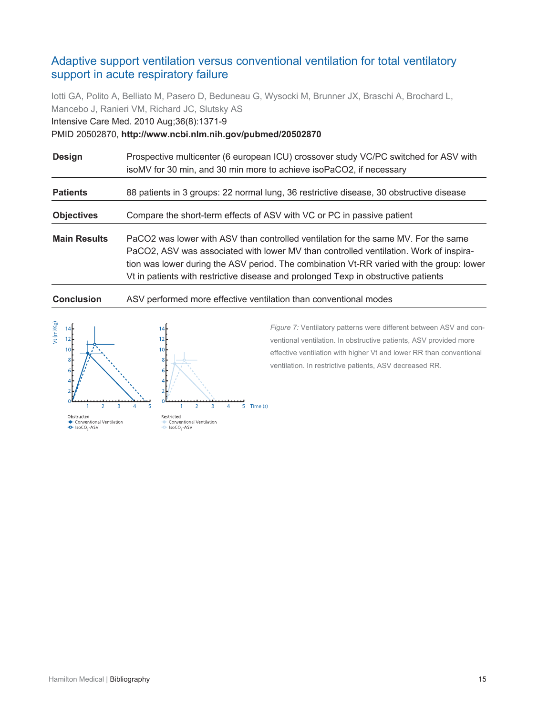## <span id="page-14-0"></span>Adaptive support ventilation versus conventional ventilation for total ventilatory support in acute respiratory failure

Iotti GA, Polito A, Belliato M, Pasero D, Beduneau G, Wysocki M, Brunner JX, Braschi A, Brochard L, Mancebo J, Ranieri VM, Richard JC, Slutsky AS Intensive Care Med. 2010 Aug;36(8):1371-9 PMID 20502870, **http://www.ncbi.nlm.nih.gov/pubmed/20502870**

| <b>Design</b>       | Prospective multicenter (6 european ICU) crossover study VC/PC switched for ASV with<br>isoMV for 30 min, and 30 min more to achieve isoPaCO2, if necessary                                                                                                                                                                                                   |
|---------------------|---------------------------------------------------------------------------------------------------------------------------------------------------------------------------------------------------------------------------------------------------------------------------------------------------------------------------------------------------------------|
| <b>Patients</b>     | 88 patients in 3 groups: 22 normal lung, 36 restrictive disease, 30 obstructive disease                                                                                                                                                                                                                                                                       |
| <b>Objectives</b>   | Compare the short-term effects of ASV with VC or PC in passive patient                                                                                                                                                                                                                                                                                        |
| <b>Main Results</b> | PaCO2 was lower with ASV than controlled ventilation for the same MV. For the same<br>PaCO2, ASV was associated with lower MV than controlled ventilation. Work of inspira-<br>tion was lower during the ASV period. The combination Vt-RR varied with the group: lower<br>Vt in patients with restrictive disease and prolonged Texp in obstructive patients |

#### **Conclusion** ASV performed more effective ventilation than conventional modes



*Figure 7:* Ventilatory patterns were different between ASV and conventional ventilation. In obstructive patients, ASV provided more effective ventilation with higher Vt and lower RR than conventional ventilation. In restrictive patients, ASV decreased RR.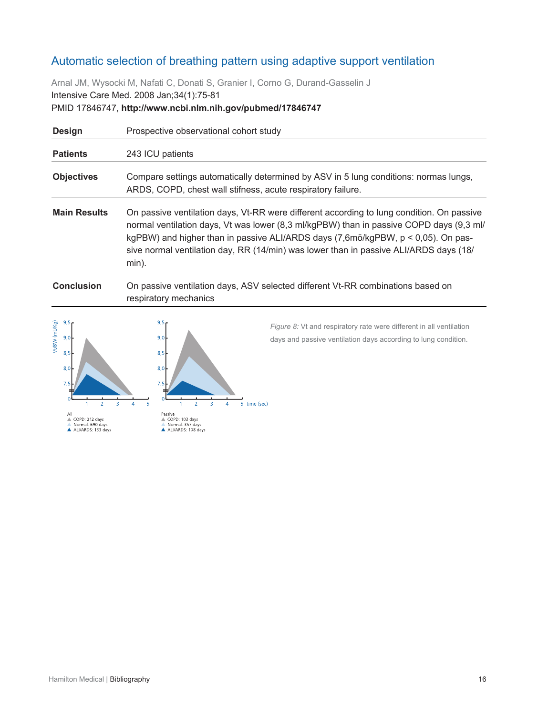## <span id="page-15-0"></span>Automatic selection of breathing pattern using adaptive support ventilation

Arnal JM, Wysocki M, Nafati C, Donati S, Granier I, Corno G, Durand-Gasselin J Intensive Care Med. 2008 Jan;34(1):75-81 PMID 17846747, **http://www.ncbi.nlm.nih.gov/pubmed/17846747**

| <b>Design</b>       | Prospective observational cohort study                                                                                                                                                                                                                                                                                                                                               |
|---------------------|--------------------------------------------------------------------------------------------------------------------------------------------------------------------------------------------------------------------------------------------------------------------------------------------------------------------------------------------------------------------------------------|
| <b>Patients</b>     | 243 ICU patients                                                                                                                                                                                                                                                                                                                                                                     |
| <b>Objectives</b>   | Compare settings automatically determined by ASV in 5 lung conditions: normas lungs,<br>ARDS, COPD, chest wall stifness, acute respiratory failure.                                                                                                                                                                                                                                  |
| <b>Main Results</b> | On passive ventilation days, Vt-RR were different according to lung condition. On passive<br>normal ventilation days, Vt was lower (8,3 ml/kgPBW) than in passive COPD days (9,3 ml/<br>kgPBW) and higher than in passive ALI/ARDS days $(7,6m\ddot{o}/kgPBW, p < 0,05)$ . On pas-<br>sive normal ventilation day, RR (14/min) was lower than in passive ALI/ARDS days (18/<br>min). |

#### **Conclusion** On passive ventilation days, ASV selected different Vt-RR combinations based on respiratory mechanics



*Figure 8:* Vt and respiratory rate were different in all ventilation days and passive ventilation days according to lung condition.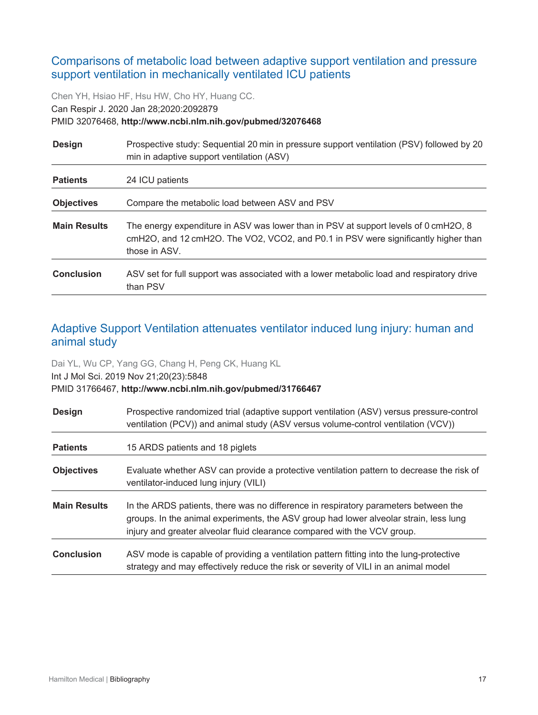## <span id="page-16-0"></span>Comparisons of metabolic load between adaptive support ventilation and pressure support ventilation in mechanically ventilated ICU patients

Chen YH, Hsiao HF, Hsu HW, Cho HY, Huang CC.

Can Respir J. 2020 Jan 28;2020:2092879

#### PMID 32076468, **http://www.ncbi.nlm.nih.gov/pubmed/32076468**

| <b>Design</b>       | Prospective study: Sequential 20 min in pressure support ventilation (PSV) followed by 20<br>min in adaptive support ventilation (ASV)                                                     |
|---------------------|--------------------------------------------------------------------------------------------------------------------------------------------------------------------------------------------|
| <b>Patients</b>     | 24 ICU patients                                                                                                                                                                            |
| <b>Objectives</b>   | Compare the metabolic load between ASV and PSV                                                                                                                                             |
| <b>Main Results</b> | The energy expenditure in ASV was lower than in PSV at support levels of 0 cmH2O, 8<br>cmH2O, and 12 cmH2O. The VO2, VCO2, and P0.1 in PSV were significantly higher than<br>those in ASV. |
| <b>Conclusion</b>   | ASV set for full support was associated with a lower metabolic load and respiratory drive<br>than PSV                                                                                      |

## <span id="page-16-1"></span>Adaptive Support Ventilation attenuates ventilator induced lung injury: human and animal study

Dai YL, Wu CP, Yang GG, Chang H, Peng CK, Huang KL Int J Mol Sci. 2019 Nov 21;20(23):5848 PMID 31766467, **http://www.ncbi.nlm.nih.gov/pubmed/31766467**

| <b>Design</b>       | Prospective randomized trial (adaptive support ventilation (ASV) versus pressure-control<br>ventilation (PCV)) and animal study (ASV versus volume-control ventilation (VCV))                                                                            |
|---------------------|----------------------------------------------------------------------------------------------------------------------------------------------------------------------------------------------------------------------------------------------------------|
| <b>Patients</b>     | 15 ARDS patients and 18 piglets                                                                                                                                                                                                                          |
| <b>Objectives</b>   | Evaluate whether ASV can provide a protective ventilation pattern to decrease the risk of<br>ventilator-induced lung injury (VILI)                                                                                                                       |
| <b>Main Results</b> | In the ARDS patients, there was no difference in respiratory parameters between the<br>groups. In the animal experiments, the ASV group had lower alveolar strain, less lung<br>injury and greater alveolar fluid clearance compared with the VCV group. |
| <b>Conclusion</b>   | ASV mode is capable of providing a ventilation pattern fitting into the lung-protective<br>strategy and may effectively reduce the risk or severity of VILI in an animal model                                                                           |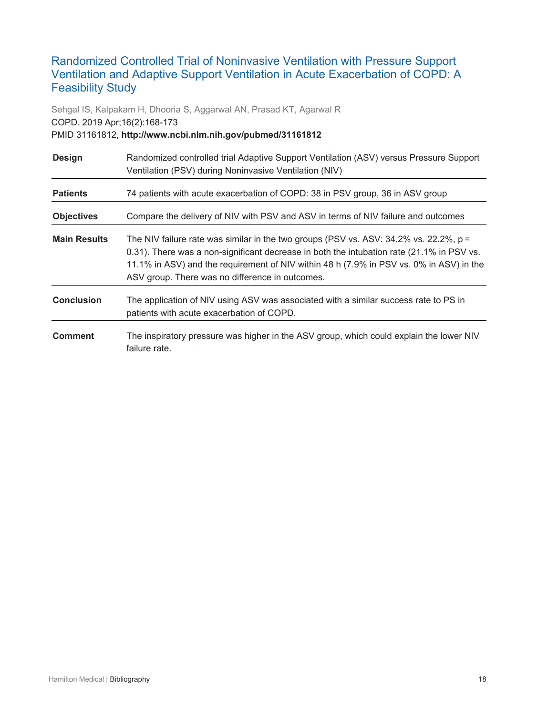## <span id="page-17-0"></span>Randomized Controlled Trial of Noninvasive Ventilation with Pressure Support Ventilation and Adaptive Support Ventilation in Acute Exacerbation of COPD: A Feasibility Study

Sehgal IS, Kalpakam H, Dhooria S, Aggarwal AN, Prasad KT, Agarwal R COPD. 2019 Apr;16(2):168-173 PMID 31161812, **http://www.ncbi.nlm.nih.gov/pubmed/31161812**

| <b>Design</b>       | Randomized controlled trial Adaptive Support Ventilation (ASV) versus Pressure Support<br>Ventilation (PSV) during Noninvasive Ventilation (NIV)                                                                                                                                                                                    |
|---------------------|-------------------------------------------------------------------------------------------------------------------------------------------------------------------------------------------------------------------------------------------------------------------------------------------------------------------------------------|
| <b>Patients</b>     | 74 patients with acute exacerbation of COPD: 38 in PSV group, 36 in ASV group                                                                                                                                                                                                                                                       |
| <b>Objectives</b>   | Compare the delivery of NIV with PSV and ASV in terms of NIV failure and outcomes                                                                                                                                                                                                                                                   |
| <b>Main Results</b> | The NIV failure rate was similar in the two groups (PSV vs. ASV: $34.2\%$ vs. 22.2%, p =<br>0.31). There was a non-significant decrease in both the intubation rate (21.1% in PSV vs.<br>11.1% in ASV) and the requirement of NIV within 48 h (7.9% in PSV vs. 0% in ASV) in the<br>ASV group. There was no difference in outcomes. |
| <b>Conclusion</b>   | The application of NIV using ASV was associated with a similar success rate to PS in<br>patients with acute exacerbation of COPD.                                                                                                                                                                                                   |
| <b>Comment</b>      | The inspiratory pressure was higher in the ASV group, which could explain the lower NIV<br>failure rate.                                                                                                                                                                                                                            |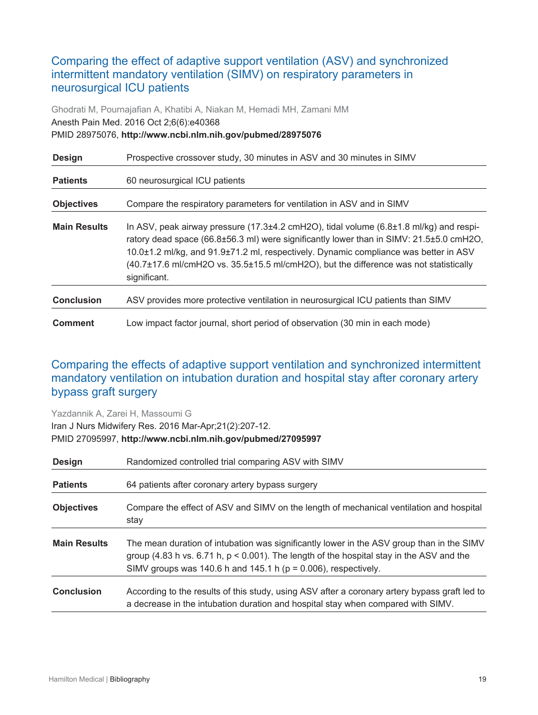## <span id="page-18-0"></span>Comparing the effect of adaptive support ventilation (ASV) and synchronized intermittent mandatory ventilation (SIMV) on respiratory parameters in neurosurgical ICU patients

Ghodrati M, Pournajafian A, Khatibi A, Niakan M, Hemadi MH, Zamani MM Anesth Pain Med. 2016 Oct 2;6(6):e40368 PMID 28975076, **http://www.ncbi.nlm.nih.gov/pubmed/28975076**

| <b>Design</b>       | Prospective crossover study, 30 minutes in ASV and 30 minutes in SIMV                                                                                                                                                                                                                                                                                                                                          |
|---------------------|----------------------------------------------------------------------------------------------------------------------------------------------------------------------------------------------------------------------------------------------------------------------------------------------------------------------------------------------------------------------------------------------------------------|
| <b>Patients</b>     | 60 neurosurgical ICU patients                                                                                                                                                                                                                                                                                                                                                                                  |
| <b>Objectives</b>   | Compare the respiratory parameters for ventilation in ASV and in SIMV                                                                                                                                                                                                                                                                                                                                          |
| <b>Main Results</b> | In ASV, peak airway pressure $(17.3\pm4.2 \text{ cm} + 120)$ , tidal volume $(6.8\pm1.8 \text{ m}$ /kg) and respi-<br>ratory dead space (66.8±56.3 ml) were significantly lower than in SIMV: 21.5±5.0 cmH2O,<br>10.0±1.2 ml/kg, and 91.9±71.2 ml, respectively. Dynamic compliance was better in ASV<br>(40.7±17.6 ml/cmH2O vs. 35.5±15.5 ml/cmH2O), but the difference was not statistically<br>significant. |
| <b>Conclusion</b>   | ASV provides more protective ventilation in neurosurgical ICU patients than SIMV                                                                                                                                                                                                                                                                                                                               |
| <b>Comment</b>      | Low impact factor journal, short period of observation (30 min in each mode)                                                                                                                                                                                                                                                                                                                                   |

## <span id="page-18-1"></span>Comparing the effects of adaptive support ventilation and synchronized intermittent mandatory ventilation on intubation duration and hospital stay after coronary artery bypass graft surgery

Yazdannik A, Zarei H, Massoumi G Iran J Nurs Midwifery Res. 2016 Mar-Apr;21(2):207-12. PMID 27095997, **http://www.ncbi.nlm.nih.gov/pubmed/27095997**

| <b>Design</b>       | Randomized controlled trial comparing ASV with SIMV                                                                                                                                                                                                              |
|---------------------|------------------------------------------------------------------------------------------------------------------------------------------------------------------------------------------------------------------------------------------------------------------|
| <b>Patients</b>     | 64 patients after coronary artery bypass surgery                                                                                                                                                                                                                 |
| <b>Objectives</b>   | Compare the effect of ASV and SIMV on the length of mechanical ventilation and hospital<br>stay                                                                                                                                                                  |
| <b>Main Results</b> | The mean duration of intubation was significantly lower in the ASV group than in the SIMV<br>group (4.83 h vs. $6.71$ h, $p < 0.001$ ). The length of the hospital stay in the ASV and the<br>SIMV groups was 140.6 h and 145.1 h ( $p = 0.006$ ), respectively. |
| <b>Conclusion</b>   | According to the results of this study, using ASV after a coronary artery bypass graft led to<br>a decrease in the intubation duration and hospital stay when compared with SIMV.                                                                                |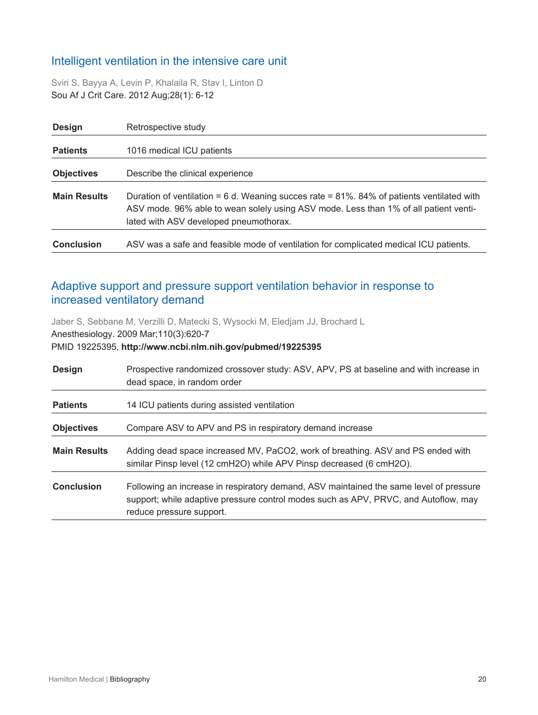## <span id="page-19-0"></span>Intelligent ventilation in the intensive care unit

Sviri S, Bayya A, Levin P, Khalaila R, Stav I, Linton D Sou Af J Crit Care. 2012 Aug;28(1): 6-12

| <b>Design</b>       | Retrospective study                                                                                                                                                                                                               |
|---------------------|-----------------------------------------------------------------------------------------------------------------------------------------------------------------------------------------------------------------------------------|
| <b>Patients</b>     | 1016 medical ICU patients                                                                                                                                                                                                         |
| <b>Objectives</b>   | Describe the clinical experience                                                                                                                                                                                                  |
| <b>Main Results</b> | Duration of ventilation = $6$ d. Weaning succes rate = $81\%$ . 84% of patients ventilated with<br>ASV mode. 96% able to wean solely using ASV mode. Less than 1% of all patient venti-<br>lated with ASV developed pneumothorax. |
| <b>Conclusion</b>   | ASV was a safe and feasible mode of ventilation for complicated medical ICU patients.                                                                                                                                             |

## <span id="page-19-1"></span>Adaptive support and pressure support ventilation behavior in response to increased ventilatory demand

Jaber S, Sebbane M, Verzilli D, Matecki S, Wysocki M, Eledjam JJ, Brochard L Anesthesiology. 2009 Mar;110(3):620-7

#### PMID 19225395, **http://www.ncbi.nlm.nih.gov/pubmed/19225395**

| <b>Design</b>       | Prospective randomized crossover study: ASV, APV, PS at baseline and with increase in<br>dead space, in random order                                                                                      |
|---------------------|-----------------------------------------------------------------------------------------------------------------------------------------------------------------------------------------------------------|
| <b>Patients</b>     | 14 ICU patients during assisted ventilation                                                                                                                                                               |
| <b>Objectives</b>   | Compare ASV to APV and PS in respiratory demand increase                                                                                                                                                  |
| <b>Main Results</b> | Adding dead space increased MV, PaCO2, work of breathing. ASV and PS ended with<br>similar Pinsp level (12 cmH2O) while APV Pinsp decreased (6 cmH2O).                                                    |
| <b>Conclusion</b>   | Following an increase in respiratory demand, ASV maintained the same level of pressure<br>support; while adaptive pressure control modes such as APV, PRVC, and Autoflow, may<br>reduce pressure support. |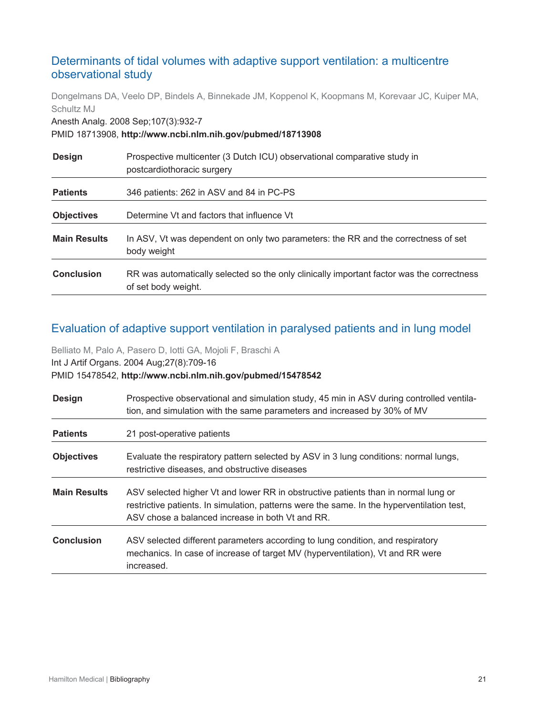## <span id="page-20-0"></span>Determinants of tidal volumes with adaptive support ventilation: a multicentre observational study

Dongelmans DA, Veelo DP, Bindels A, Binnekade JM, Koppenol K, Koopmans M, Korevaar JC, Kuiper MA, Schultz MJ

Anesth Analg. 2008 Sep;107(3):932-7

#### PMID 18713908, **http://www.ncbi.nlm.nih.gov/pubmed/18713908**

| <b>Design</b>       | Prospective multicenter (3 Dutch ICU) observational comparative study in<br>postcardiothoracic surgery           |
|---------------------|------------------------------------------------------------------------------------------------------------------|
| <b>Patients</b>     | 346 patients: 262 in ASV and 84 in PC-PS                                                                         |
| <b>Objectives</b>   | Determine Vt and factors that influence Vt                                                                       |
| <b>Main Results</b> | In ASV, Vt was dependent on only two parameters: the RR and the correctness of set<br>body weight                |
| <b>Conclusion</b>   | RR was automatically selected so the only clinically important factor was the correctness<br>of set body weight. |

## <span id="page-20-1"></span>Evaluation of adaptive support ventilation in paralysed patients and in lung model

Belliato M, Palo A, Pasero D, Iotti GA, Mojoli F, Braschi A Int J Artif Organs. 2004 Aug;27(8):709-16 PMID 15478542, **http://www.ncbi.nlm.nih.gov/pubmed/15478542**

| <b>Design</b>       | Prospective observational and simulation study, 45 min in ASV during controlled ventila-<br>tion, and simulation with the same parameters and increased by 30% of MV                                                                 |
|---------------------|--------------------------------------------------------------------------------------------------------------------------------------------------------------------------------------------------------------------------------------|
| <b>Patients</b>     | 21 post-operative patients                                                                                                                                                                                                           |
| <b>Objectives</b>   | Evaluate the respiratory pattern selected by ASV in 3 lung conditions: normal lungs,<br>restrictive diseases, and obstructive diseases                                                                                               |
| <b>Main Results</b> | ASV selected higher Vt and lower RR in obstructive patients than in normal lung or<br>restrictive patients. In simulation, patterns were the same. In the hyperventilation test,<br>ASV chose a balanced increase in both Vt and RR. |
| <b>Conclusion</b>   | ASV selected different parameters according to lung condition, and respiratory<br>mechanics. In case of increase of target MV (hyperventilation), Vt and RR were<br>increased.                                                       |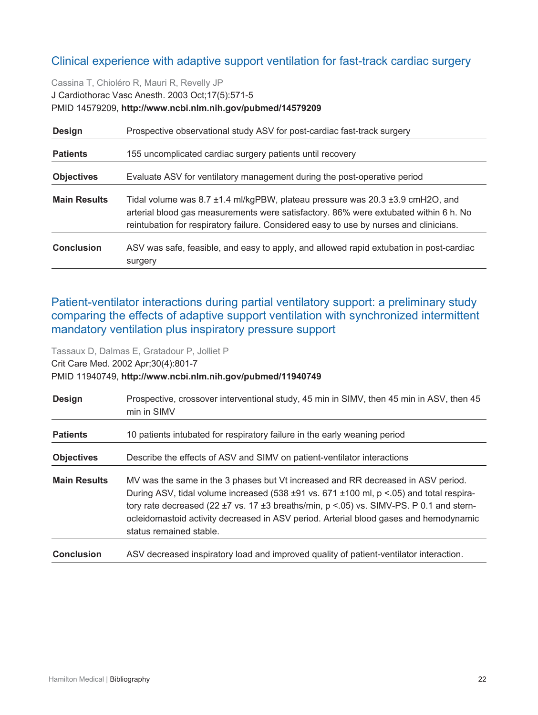## <span id="page-21-0"></span>Clinical experience with adaptive support ventilation for fast-track cardiac surgery

Cassina T, Chioléro R, Mauri R, Revelly JP J Cardiothorac Vasc Anesth. 2003 Oct;17(5):571-5 PMID 14579209, **http://www.ncbi.nlm.nih.gov/pubmed/14579209**

| <b>Design</b>       | Prospective observational study ASV for post-cardiac fast-track surgery                                                                                                                                                                                         |
|---------------------|-----------------------------------------------------------------------------------------------------------------------------------------------------------------------------------------------------------------------------------------------------------------|
| <b>Patients</b>     | 155 uncomplicated cardiac surgery patients until recovery                                                                                                                                                                                                       |
| <b>Objectives</b>   | Evaluate ASV for ventilatory management during the post-operative period                                                                                                                                                                                        |
| <b>Main Results</b> | Tidal volume was 8.7 ±1.4 ml/kgPBW, plateau pressure was 20.3 ±3.9 cmH2O, and<br>arterial blood gas measurements were satisfactory. 86% were extubated within 6 h. No<br>reintubation for respiratory failure. Considered easy to use by nurses and clinicians. |
| <b>Conclusion</b>   | ASV was safe, feasible, and easy to apply, and allowed rapid extubation in post-cardiac<br>surgery                                                                                                                                                              |

<span id="page-21-1"></span>Patient-ventilator interactions during partial ventilatory support: a preliminary study comparing the effects of adaptive support ventilation with synchronized intermittent mandatory ventilation plus inspiratory pressure support

Tassaux D, Dalmas E, Gratadour P, Jolliet P Crit Care Med. 2002 Apr;30(4):801-7 PMID 11940749, **http://www.ncbi.nlm.nih.gov/pubmed/11940749**

| <b>Design</b>       | Prospective, crossover interventional study, 45 min in SIMV, then 45 min in ASV, then 45<br>min in SIMV                                                                                                                                                                                                                                                                                              |
|---------------------|------------------------------------------------------------------------------------------------------------------------------------------------------------------------------------------------------------------------------------------------------------------------------------------------------------------------------------------------------------------------------------------------------|
| <b>Patients</b>     | 10 patients intubated for respiratory failure in the early weaning period                                                                                                                                                                                                                                                                                                                            |
| <b>Objectives</b>   | Describe the effects of ASV and SIMV on patient-ventilator interactions                                                                                                                                                                                                                                                                                                                              |
| <b>Main Results</b> | MV was the same in the 3 phases but Vt increased and RR decreased in ASV period.<br>During ASV, tidal volume increased (538 ±91 vs. 671 ±100 ml, p <.05) and total respira-<br>tory rate decreased (22 $\pm$ 7 vs. 17 $\pm$ 3 breaths/min, p < 05) vs. SIMV-PS. P 0.1 and stern-<br>ocleidomastoid activity decreased in ASV period. Arterial blood gases and hemodynamic<br>status remained stable. |
| <b>Conclusion</b>   | ASV decreased inspiratory load and improved quality of patient-ventilator interaction.                                                                                                                                                                                                                                                                                                               |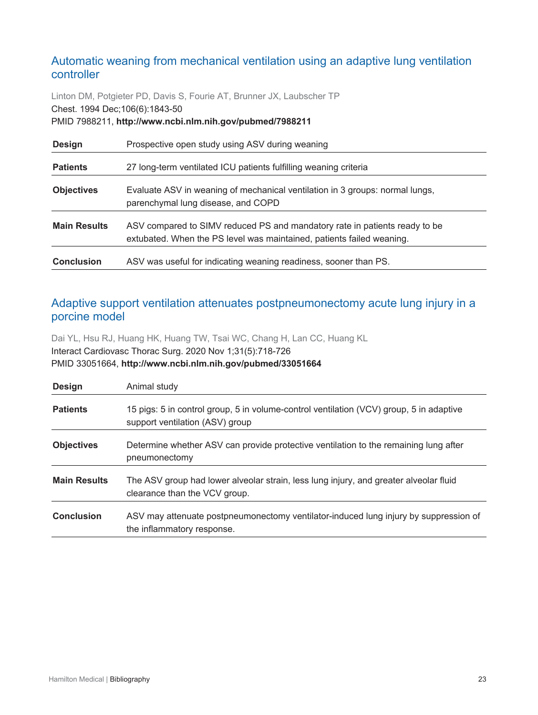## <span id="page-22-0"></span>Automatic weaning from mechanical ventilation using an adaptive lung ventilation controller

Linton DM, Potgieter PD, Davis S, Fourie AT, Brunner JX, Laubscher TP Chest. 1994 Dec;106(6):1843-50 PMID 7988211, **http://www.ncbi.nlm.nih.gov/pubmed/7988211**

| <b>Design</b>       | Prospective open study using ASV during weaning                                                                                                     |
|---------------------|-----------------------------------------------------------------------------------------------------------------------------------------------------|
| <b>Patients</b>     | 27 long-term ventilated ICU patients fulfilling weaning criteria                                                                                    |
| <b>Objectives</b>   | Evaluate ASV in weaning of mechanical ventilation in 3 groups: normal lungs,<br>parenchymal lung disease, and COPD                                  |
| <b>Main Results</b> | ASV compared to SIMV reduced PS and mandatory rate in patients ready to be<br>extubated. When the PS level was maintained, patients failed weaning. |
| <b>Conclusion</b>   | ASV was useful for indicating weaning readiness, sooner than PS.                                                                                    |

#### <span id="page-22-1"></span>Adaptive support ventilation attenuates postpneumonectomy acute lung injury in a porcine model

Dai YL, Hsu RJ, Huang HK, Huang TW, Tsai WC, Chang H, Lan CC, Huang KL Interact Cardiovasc Thorac Surg. 2020 Nov 1;31(5):718-726 PMID 33051664, **http://www.ncbi.nlm.nih.gov/pubmed/33051664**

| <b>Design</b>       | Animal study                                                                                                               |
|---------------------|----------------------------------------------------------------------------------------------------------------------------|
| <b>Patients</b>     | 15 pigs: 5 in control group, 5 in volume-control ventilation (VCV) group, 5 in adaptive<br>support ventilation (ASV) group |
| <b>Objectives</b>   | Determine whether ASV can provide protective ventilation to the remaining lung after<br>pneumonectomy                      |
| <b>Main Results</b> | The ASV group had lower alveolar strain, less lung injury, and greater alveolar fluid<br>clearance than the VCV group.     |
| <b>Conclusion</b>   | ASV may attenuate postpneumonectomy ventilator-induced lung injury by suppression of<br>the inflammatory response.         |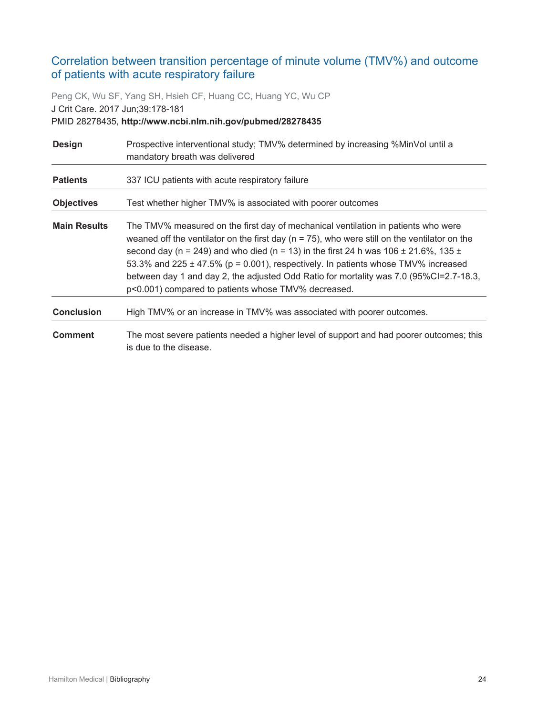## <span id="page-23-0"></span>Correlation between transition percentage of minute volume (TMV%) and outcome of patients with acute respiratory failure

Peng CK, Wu SF, Yang SH, Hsieh CF, Huang CC, Huang YC, Wu CP J Crit Care. 2017 Jun;39:178-181 PMID 28278435, **http://www.ncbi.nlm.nih.gov/pubmed/28278435**

| <b>Design</b>       | Prospective interventional study; TMV% determined by increasing %MinVol until a<br>mandatory breath was delivered                                                                                                                                                                                                                                                                                                                                                                                                              |
|---------------------|--------------------------------------------------------------------------------------------------------------------------------------------------------------------------------------------------------------------------------------------------------------------------------------------------------------------------------------------------------------------------------------------------------------------------------------------------------------------------------------------------------------------------------|
| <b>Patients</b>     | 337 ICU patients with acute respiratory failure                                                                                                                                                                                                                                                                                                                                                                                                                                                                                |
| <b>Objectives</b>   | Test whether higher TMV% is associated with poorer outcomes                                                                                                                                                                                                                                                                                                                                                                                                                                                                    |
| <b>Main Results</b> | The TMV% measured on the first day of mechanical ventilation in patients who were<br>weaned off the ventilator on the first day ( $n = 75$ ), who were still on the ventilator on the<br>second day (n = 249) and who died (n = 13) in the first 24 h was 106 $\pm$ 21.6%, 135 $\pm$<br>53.3% and 225 $\pm$ 47.5% (p = 0.001), respectively. In patients whose TMV% increased<br>between day 1 and day 2, the adjusted Odd Ratio for mortality was 7.0 (95%Cl=2.7-18.3,<br>p<0.001) compared to patients whose TMV% decreased. |
| <b>Conclusion</b>   | High TMV% or an increase in TMV% was associated with poorer outcomes.                                                                                                                                                                                                                                                                                                                                                                                                                                                          |
| <b>Comment</b>      | The most severe patients needed a higher level of support and had poorer outcomes; this<br>is due to the disease.                                                                                                                                                                                                                                                                                                                                                                                                              |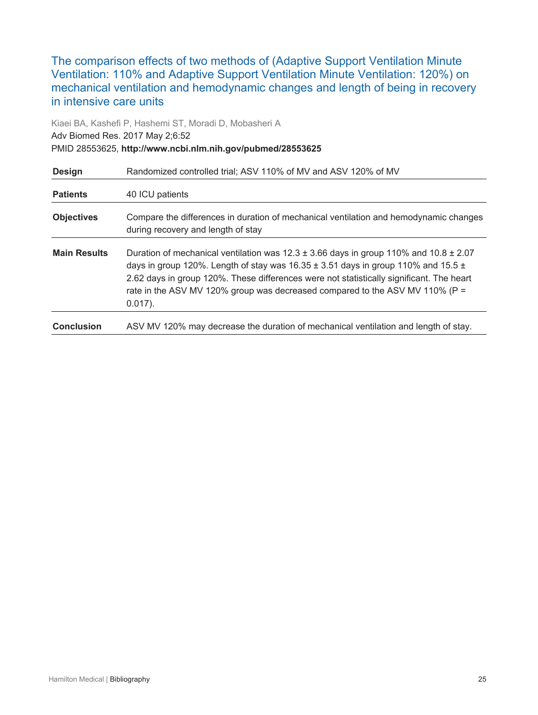<span id="page-24-0"></span>The comparison effects of two methods of (Adaptive Support Ventilation Minute Ventilation: 110% and Adaptive Support Ventilation Minute Ventilation: 120%) on mechanical ventilation and hemodynamic changes and length of being in recovery in intensive care units

Kiaei BA, Kashefi P, Hashemi ST, Moradi D, Mobasheri A Adv Biomed Res. 2017 May 2;6:52 PMID 28553625, **http://www.ncbi.nlm.nih.gov/pubmed/28553625**

| <b>Design</b>       | Randomized controlled trial; ASV 110% of MV and ASV 120% of MV                                                                                                                                                                                                                                                                                                                          |
|---------------------|-----------------------------------------------------------------------------------------------------------------------------------------------------------------------------------------------------------------------------------------------------------------------------------------------------------------------------------------------------------------------------------------|
| <b>Patients</b>     | 40 ICU patients                                                                                                                                                                                                                                                                                                                                                                         |
| <b>Objectives</b>   | Compare the differences in duration of mechanical ventilation and hemodynamic changes<br>during recovery and length of stay                                                                                                                                                                                                                                                             |
| <b>Main Results</b> | Duration of mechanical ventilation was $12.3 \pm 3.66$ days in group 110% and 10.8 $\pm$ 2.07<br>days in group 120%. Length of stay was 16.35 $\pm$ 3.51 days in group 110% and 15.5 $\pm$<br>2.62 days in group 120%. These differences were not statistically significant. The heart<br>rate in the ASV MV 120% group was decreased compared to the ASV MV 110% ( $P =$<br>$0.017$ ). |
| <b>Conclusion</b>   | ASV MV 120% may decrease the duration of mechanical ventilation and length of stay.                                                                                                                                                                                                                                                                                                     |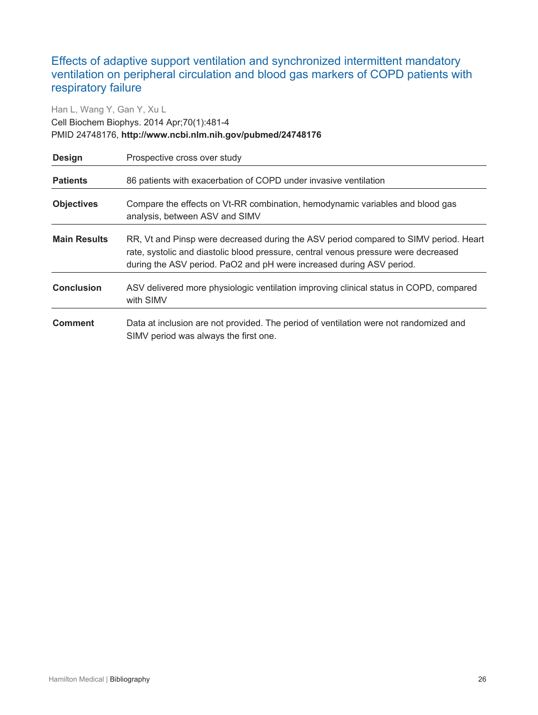## <span id="page-25-0"></span>Effects of adaptive support ventilation and synchronized intermittent mandatory ventilation on peripheral circulation and blood gas markers of COPD patients with respiratory failure

#### Han L, Wang Y, Gan Y, Xu L Cell Biochem Biophys. 2014 Apr;70(1):481-4 PMID 24748176, **http://www.ncbi.nlm.nih.gov/pubmed/24748176**

| <b>Design</b>       | Prospective cross over study                                                                                                                                                                                                                        |
|---------------------|-----------------------------------------------------------------------------------------------------------------------------------------------------------------------------------------------------------------------------------------------------|
| <b>Patients</b>     | 86 patients with exacerbation of COPD under invasive ventilation                                                                                                                                                                                    |
| <b>Objectives</b>   | Compare the effects on Vt-RR combination, hemodynamic variables and blood gas<br>analysis, between ASV and SIMV                                                                                                                                     |
| <b>Main Results</b> | RR, Vt and Pinsp were decreased during the ASV period compared to SIMV period. Heart<br>rate, systolic and diastolic blood pressure, central venous pressure were decreased<br>during the ASV period. PaO2 and pH were increased during ASV period. |
| <b>Conclusion</b>   | ASV delivered more physiologic ventilation improving clinical status in COPD, compared<br>with SIMV                                                                                                                                                 |
| <b>Comment</b>      | Data at inclusion are not provided. The period of ventilation were not randomized and<br>SIMV period was always the first one.                                                                                                                      |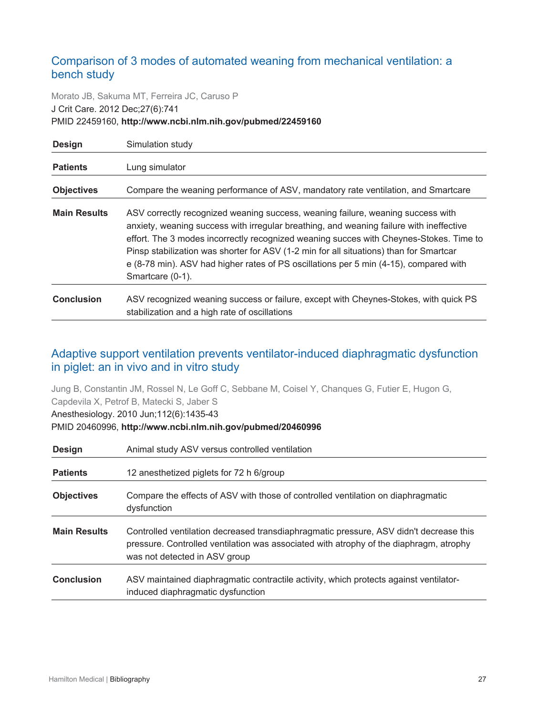## <span id="page-26-0"></span>Comparison of 3 modes of automated weaning from mechanical ventilation: a bench study

Morato JB, Sakuma MT, Ferreira JC, Caruso P J Crit Care. 2012 Dec;27(6):741 PMID 22459160, **http://www.ncbi.nlm.nih.gov/pubmed/22459160**

| <b>Design</b>       | Simulation study                                                                                                                                                                                                                                                                                                                                                                                                                                                            |
|---------------------|-----------------------------------------------------------------------------------------------------------------------------------------------------------------------------------------------------------------------------------------------------------------------------------------------------------------------------------------------------------------------------------------------------------------------------------------------------------------------------|
| <b>Patients</b>     | Lung simulator                                                                                                                                                                                                                                                                                                                                                                                                                                                              |
| <b>Objectives</b>   | Compare the weaning performance of ASV, mandatory rate ventilation, and Smartcare                                                                                                                                                                                                                                                                                                                                                                                           |
| <b>Main Results</b> | ASV correctly recognized weaning success, weaning failure, weaning success with<br>anxiety, weaning success with irregular breathing, and weaning failure with ineffective<br>effort. The 3 modes incorrectly recognized weaning succes with Cheynes-Stokes. Time to<br>Pinsp stabilization was shorter for ASV (1-2 min for all situations) than for Smartcar<br>e (8-78 min). ASV had higher rates of PS oscillations per 5 min (4-15), compared with<br>Smartcare (0-1). |
| <b>Conclusion</b>   | ASV recognized weaning success or failure, except with Cheynes-Stokes, with quick PS<br>stabilization and a high rate of oscillations                                                                                                                                                                                                                                                                                                                                       |

## <span id="page-26-1"></span>Adaptive support ventilation prevents ventilator-induced diaphragmatic dysfunction in piglet: an in vivo and in vitro study

Jung B, Constantin JM, Rossel N, Le Goff C, Sebbane M, Coisel Y, Chanques G, Futier E, Hugon G, Capdevila X, Petrof B, Matecki S, Jaber S

Anesthesiology. 2010 Jun;112(6):1435-43

PMID 20460996, **http://www.ncbi.nlm.nih.gov/pubmed/20460996**

| <b>Design</b>       | Animal study ASV versus controlled ventilation                                                                                                                                                                    |
|---------------------|-------------------------------------------------------------------------------------------------------------------------------------------------------------------------------------------------------------------|
| <b>Patients</b>     | 12 anesthetized piglets for 72 h 6/group                                                                                                                                                                          |
| <b>Objectives</b>   | Compare the effects of ASV with those of controlled ventilation on diaphragmatic<br>dysfunction                                                                                                                   |
| <b>Main Results</b> | Controlled ventilation decreased transdiaphragmatic pressure, ASV didn't decrease this<br>pressure. Controlled ventilation was associated with atrophy of the diaphragm, atrophy<br>was not detected in ASV group |
| <b>Conclusion</b>   | ASV maintained diaphragmatic contractile activity, which protects against ventilator-<br>induced diaphragmatic dysfunction                                                                                        |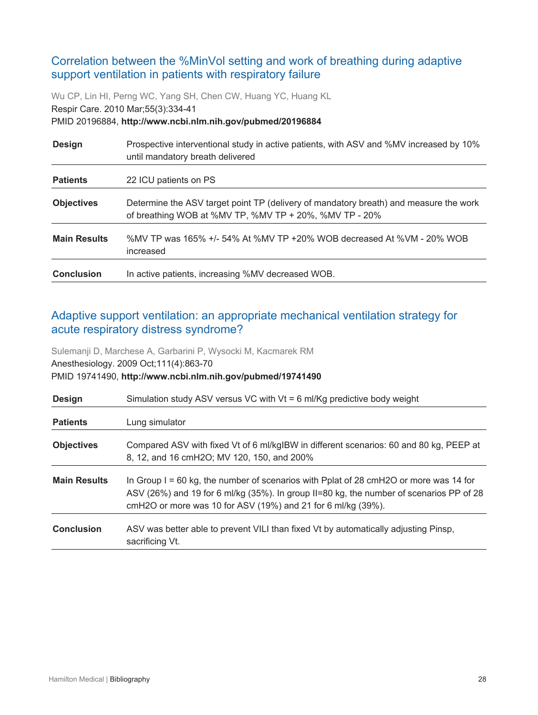## <span id="page-27-0"></span>Correlation between the %MinVol setting and work of breathing during adaptive support ventilation in patients with respiratory failure

Wu CP, Lin HI, Perng WC, Yang SH, Chen CW, Huang YC, Huang KL Respir Care. 2010 Mar;55(3):334-41 PMID 20196884, **http://www.ncbi.nlm.nih.gov/pubmed/20196884**

| <b>Design</b>       | Prospective interventional study in active patients, with ASV and %MV increased by 10%<br>until mandatory breath delivered                      |
|---------------------|-------------------------------------------------------------------------------------------------------------------------------------------------|
| <b>Patients</b>     | 22 ICU patients on PS                                                                                                                           |
| <b>Objectives</b>   | Determine the ASV target point TP (delivery of mandatory breath) and measure the work<br>of breathing WOB at %MV TP, %MV TP + 20%, %MV TP - 20% |
| <b>Main Results</b> | %MV TP was 165% +/- 54% At %MV TP +20% WOB decreased At %VM - 20% WOB<br>increased                                                              |
| <b>Conclusion</b>   | In active patients, increasing %MV decreased WOB.                                                                                               |

## <span id="page-27-1"></span>Adaptive support ventilation: an appropriate mechanical ventilation strategy for acute respiratory distress syndrome?

Sulemanji D, Marchese A, Garbarini P, Wysocki M, Kacmarek RM Anesthesiology. 2009 Oct;111(4):863-70 PMID 19741490, **http://www.ncbi.nlm.nih.gov/pubmed/19741490**

| <b>Design</b>       | Simulation study ASV versus VC with $Vt = 6$ ml/Kg predictive body weight                                                                                                                                                                          |
|---------------------|----------------------------------------------------------------------------------------------------------------------------------------------------------------------------------------------------------------------------------------------------|
| <b>Patients</b>     | Lung simulator                                                                                                                                                                                                                                     |
| <b>Objectives</b>   | Compared ASV with fixed Vt of 6 ml/kgIBW in different scenarios: 60 and 80 kg, PEEP at<br>8, 12, and 16 cmH2O; MV 120, 150, and 200%                                                                                                               |
| <b>Main Results</b> | In Group $I = 60$ kg, the number of scenarios with Pplat of 28 cmH2O or more was 14 for<br>ASV (26%) and 19 for 6 ml/kg (35%). In group II=80 kg, the number of scenarios PP of 28<br>cmH2O or more was 10 for ASV (19%) and 21 for 6 ml/kg (39%). |
| <b>Conclusion</b>   | ASV was better able to prevent VILI than fixed Vt by automatically adjusting Pinsp,<br>sacrificing Vt.                                                                                                                                             |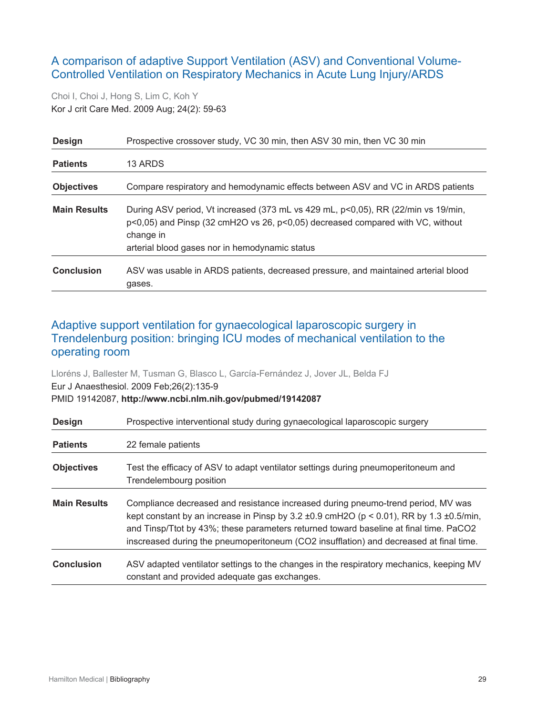## <span id="page-28-0"></span>A comparison of adaptive Support Ventilation (ASV) and Conventional Volume-Controlled Ventilation on Respiratory Mechanics in Acute Lung Injury/ARDS

Choi I, Choi J, Hong S, Lim C, Koh Y Kor J crit Care Med. 2009 Aug; 24(2): 59-63

| <b>Design</b>       | Prospective crossover study, VC 30 min, then ASV 30 min, then VC 30 min                                                                                                                                                            |
|---------------------|------------------------------------------------------------------------------------------------------------------------------------------------------------------------------------------------------------------------------------|
| <b>Patients</b>     | 13 ARDS                                                                                                                                                                                                                            |
| <b>Objectives</b>   | Compare respiratory and hemodynamic effects between ASV and VC in ARDS patients                                                                                                                                                    |
| <b>Main Results</b> | During ASV period, Vt increased (373 mL vs 429 mL, p<0,05), RR (22/min vs 19/min,<br>p<0,05) and Pinsp (32 cmH2O vs 26, p<0,05) decreased compared with VC, without<br>change in<br>arterial blood gases nor in hemodynamic status |
| <b>Conclusion</b>   | ASV was usable in ARDS patients, decreased pressure, and maintained arterial blood<br>gases.                                                                                                                                       |

## <span id="page-28-1"></span>Adaptive support ventilation for gynaecological laparoscopic surgery in Trendelenburg position: bringing ICU modes of mechanical ventilation to the operating room

Lloréns J, Ballester M, Tusman G, Blasco L, García-Fernández J, Jover JL, Belda FJ Eur J Anaesthesiol. 2009 Feb;26(2):135-9 PMID 19142087, **http://www.ncbi.nlm.nih.gov/pubmed/19142087**

| <b>Design</b>       | Prospective interventional study during gynaecological laparoscopic surgery                                                                                                                                                                                                                                                                                                   |
|---------------------|-------------------------------------------------------------------------------------------------------------------------------------------------------------------------------------------------------------------------------------------------------------------------------------------------------------------------------------------------------------------------------|
| <b>Patients</b>     | 22 female patients                                                                                                                                                                                                                                                                                                                                                            |
| <b>Objectives</b>   | Test the efficacy of ASV to adapt ventilator settings during pneumoperitoneum and<br>Trendelembourg position                                                                                                                                                                                                                                                                  |
| <b>Main Results</b> | Compliance decreased and resistance increased during pneumo-trend period, MV was<br>kept constant by an increase in Pinsp by $3.2 \pm 0.9$ cmH2O ( $p < 0.01$ ), RR by 1.3 $\pm 0.5$ /min,<br>and Tinsp/Ttot by 43%; these parameters returned toward baseline at final time. PaCO2<br>inscreased during the pneumoperitoneum (CO2 insufflation) and decreased at final time. |
| <b>Conclusion</b>   | ASV adapted ventilator settings to the changes in the respiratory mechanics, keeping MV<br>constant and provided adequate gas exchanges.                                                                                                                                                                                                                                      |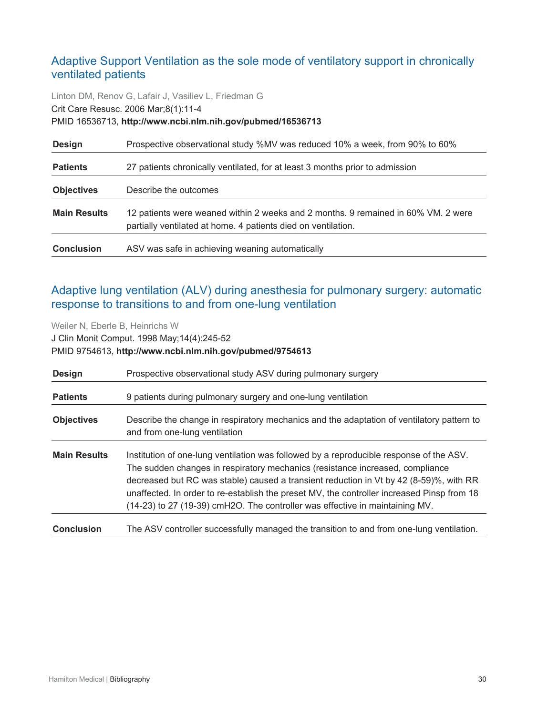## <span id="page-29-0"></span>Adaptive Support Ventilation as the sole mode of ventilatory support in chronically ventilated patients

Linton DM, Renov G, Lafair J, Vasiliev L, Friedman G Crit Care Resusc. 2006 Mar;8(1):11-4 PMID 16536713, **http://www.ncbi.nlm.nih.gov/pubmed/16536713**

| <b>Design</b>       | Prospective observational study %MV was reduced 10% a week, from 90% to 60%                                                                        |
|---------------------|----------------------------------------------------------------------------------------------------------------------------------------------------|
| <b>Patients</b>     | 27 patients chronically ventilated, for at least 3 months prior to admission                                                                       |
| <b>Objectives</b>   | Describe the outcomes                                                                                                                              |
| <b>Main Results</b> | 12 patients were weaned within 2 weeks and 2 months. 9 remained in 60% VM. 2 were<br>partially ventilated at home. 4 patients died on ventilation. |
| <b>Conclusion</b>   | ASV was safe in achieving weaning automatically                                                                                                    |

## <span id="page-29-1"></span>Adaptive lung ventilation (ALV) during anesthesia for pulmonary surgery: automatic response to transitions to and from one-lung ventilation

Weiler N, Eberle B, Heinrichs W J Clin Monit Comput. 1998 May;14(4):245-52 PMID 9754613, **http://www.ncbi.nlm.nih.gov/pubmed/9754613**

| <b>Design</b>       | Prospective observational study ASV during pulmonary surgery                                                                                                                                                                                                                                                                                                                                                                                     |
|---------------------|--------------------------------------------------------------------------------------------------------------------------------------------------------------------------------------------------------------------------------------------------------------------------------------------------------------------------------------------------------------------------------------------------------------------------------------------------|
| <b>Patients</b>     | 9 patients during pulmonary surgery and one-lung ventilation                                                                                                                                                                                                                                                                                                                                                                                     |
| <b>Objectives</b>   | Describe the change in respiratory mechanics and the adaptation of ventilatory pattern to<br>and from one-lung ventilation                                                                                                                                                                                                                                                                                                                       |
| <b>Main Results</b> | Institution of one-lung ventilation was followed by a reproducible response of the ASV.<br>The sudden changes in respiratory mechanics (resistance increased, compliance<br>decreased but RC was stable) caused a transient reduction in Vt by 42 (8-59)%, with RR<br>unaffected. In order to re-establish the preset MV, the controller increased Pinsp from 18<br>(14-23) to 27 (19-39) cmH2O. The controller was effective in maintaining MV. |
| <b>Conclusion</b>   | The ASV controller successfully managed the transition to and from one-lung ventilation.                                                                                                                                                                                                                                                                                                                                                         |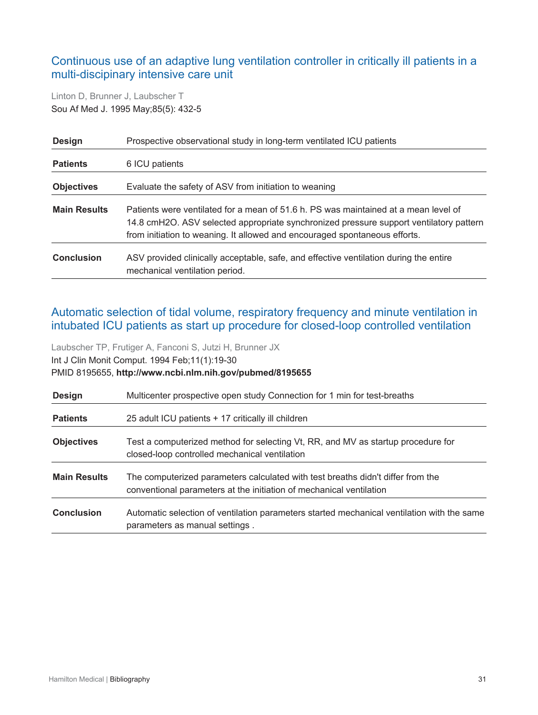## <span id="page-30-0"></span>Continuous use of an adaptive lung ventilation controller in critically ill patients in a multi-discipinary intensive care unit

Linton D, Brunner J, Laubscher T Sou Af Med J. 1995 May;85(5): 432-5

| <b>Design</b>       | Prospective observational study in long-term ventilated ICU patients                                                                                                                                                                                        |
|---------------------|-------------------------------------------------------------------------------------------------------------------------------------------------------------------------------------------------------------------------------------------------------------|
| <b>Patients</b>     | 6 ICU patients                                                                                                                                                                                                                                              |
| <b>Objectives</b>   | Evaluate the safety of ASV from initiation to weaning                                                                                                                                                                                                       |
| <b>Main Results</b> | Patients were ventilated for a mean of 51.6 h, PS was maintained at a mean level of<br>14.8 cmH2O. ASV selected appropriate synchronized pressure support ventilatory pattern<br>from initiation to weaning. It allowed and encouraged spontaneous efforts. |
| <b>Conclusion</b>   | ASV provided clinically acceptable, safe, and effective ventilation during the entire<br>mechanical ventilation period.                                                                                                                                     |

## <span id="page-30-1"></span>Automatic selection of tidal volume, respiratory frequency and minute ventilation in intubated ICU patients as start up procedure for closed-loop controlled ventilation

Laubscher TP, Frutiger A, Fanconi S, Jutzi H, Brunner JX Int J Clin Monit Comput. 1994 Feb;11(1):19-30 PMID 8195655, **http://www.ncbi.nlm.nih.gov/pubmed/8195655**

| <b>Design</b>       | Multicenter prospective open study Connection for 1 min for test-breaths                                                                               |
|---------------------|--------------------------------------------------------------------------------------------------------------------------------------------------------|
| <b>Patients</b>     | 25 adult ICU patients + 17 critically ill children                                                                                                     |
| <b>Objectives</b>   | Test a computerized method for selecting Vt, RR, and MV as startup procedure for<br>closed-loop controlled mechanical ventilation                      |
| <b>Main Results</b> | The computerized parameters calculated with test breaths didn't differ from the<br>conventional parameters at the initiation of mechanical ventilation |
| <b>Conclusion</b>   | Automatic selection of ventilation parameters started mechanical ventilation with the same<br>parameters as manual settings.                           |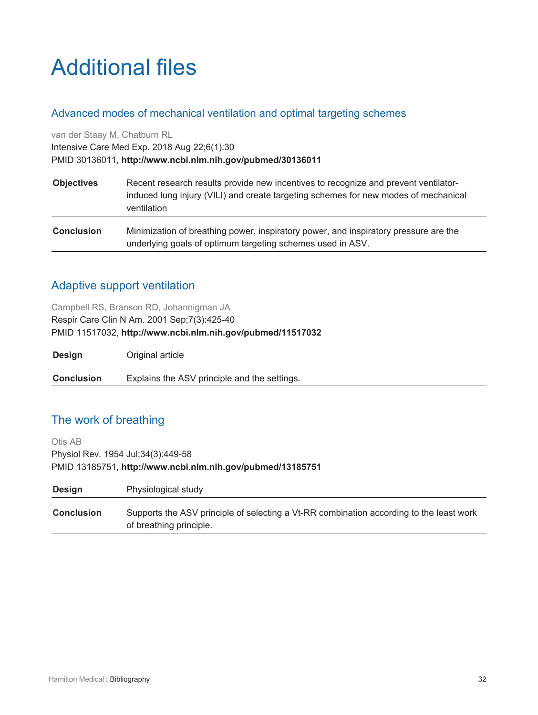## <span id="page-31-0"></span>Additional files

#### <span id="page-31-1"></span>Advanced modes of mechanical ventilation and optimal targeting schemes

van der Staay M, Chatburn RL

Intensive Care Med Exp. 2018 Aug 22;6(1):30

PMID 30136011, **http://www.ncbi.nlm.nih.gov/pubmed/30136011**

| <b>Objectives</b> | Recent research results provide new incentives to recognize and prevent ventilator-<br>induced lung injury (VILI) and create targeting schemes for new modes of mechanical<br>ventilation |
|-------------------|-------------------------------------------------------------------------------------------------------------------------------------------------------------------------------------------|
| <b>Conclusion</b> | Minimization of breathing power, inspiratory power, and inspiratory pressure are the<br>underlying goals of optimum targeting schemes used in ASV.                                        |

## <span id="page-31-2"></span>Adaptive support ventilation

Campbell RS, Branson RD, Johannigman JA Respir Care Clin N Am. 2001 Sep;7(3):425-40 PMID 11517032, **http://www.ncbi.nlm.nih.gov/pubmed/11517032**

| <b>Design</b>     | Original article                             |
|-------------------|----------------------------------------------|
| <b>Conclusion</b> | Explains the ASV principle and the settings. |

## <span id="page-31-3"></span>The work of breathing

Otis AB Physiol Rev. 1954 Jul;34(3):449-58 PMID 13185751, **http://www.ncbi.nlm.nih.gov/pubmed/13185751**

| <b>Design</b>     | Physiological study                                                                                                |
|-------------------|--------------------------------------------------------------------------------------------------------------------|
| <b>Conclusion</b> | Supports the ASV principle of selecting a Vt-RR combination according to the least work<br>of breathing principle. |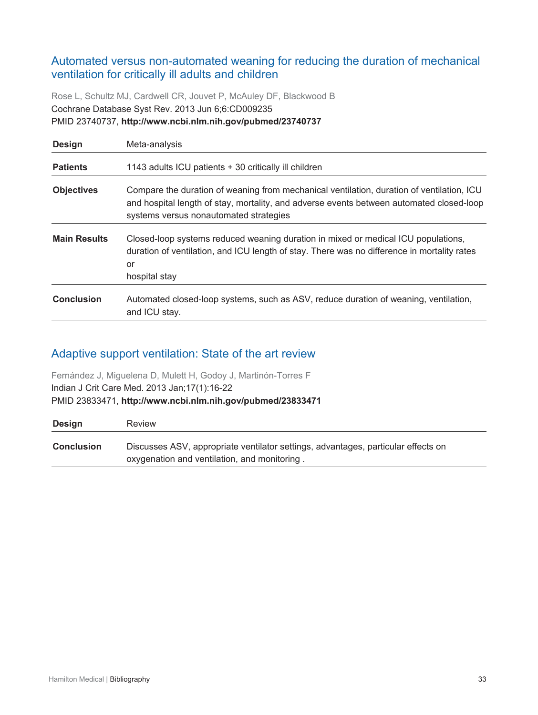## <span id="page-32-0"></span>Automated versus non-automated weaning for reducing the duration of mechanical ventilation for critically ill adults and children

Rose L, Schultz MJ, Cardwell CR, Jouvet P, McAuley DF, Blackwood B Cochrane Database Syst Rev. 2013 Jun 6;6:CD009235 PMID 23740737, **http://www.ncbi.nlm.nih.gov/pubmed/23740737**

| <b>Design</b>       | Meta-analysis                                                                                                                                                                                                                   |
|---------------------|---------------------------------------------------------------------------------------------------------------------------------------------------------------------------------------------------------------------------------|
| <b>Patients</b>     | 1143 adults ICU patients + 30 critically ill children                                                                                                                                                                           |
| <b>Objectives</b>   | Compare the duration of weaning from mechanical ventilation, duration of ventilation, ICU<br>and hospital length of stay, mortality, and adverse events between automated closed-loop<br>systems versus nonautomated strategies |
| <b>Main Results</b> | Closed-loop systems reduced weaning duration in mixed or medical ICU populations,<br>duration of ventilation, and ICU length of stay. There was no difference in mortality rates<br>or<br>hospital stay                         |
| <b>Conclusion</b>   | Automated closed-loop systems, such as ASV, reduce duration of weaning, ventilation,<br>and ICU stay.                                                                                                                           |

## <span id="page-32-1"></span>Adaptive support ventilation: State of the art review

Fernández J, Miguelena D, Mulett H, Godoy J, Martinón-Torres F Indian J Crit Care Med. 2013 Jan;17(1):16-22 PMID 23833471, **http://www.ncbi.nlm.nih.gov/pubmed/23833471**

| Design            | Review                                                                            |
|-------------------|-----------------------------------------------------------------------------------|
| <b>Conclusion</b> | Discusses ASV, appropriate ventilator settings, advantages, particular effects on |
|                   | oxygenation and ventilation, and monitoring.                                      |